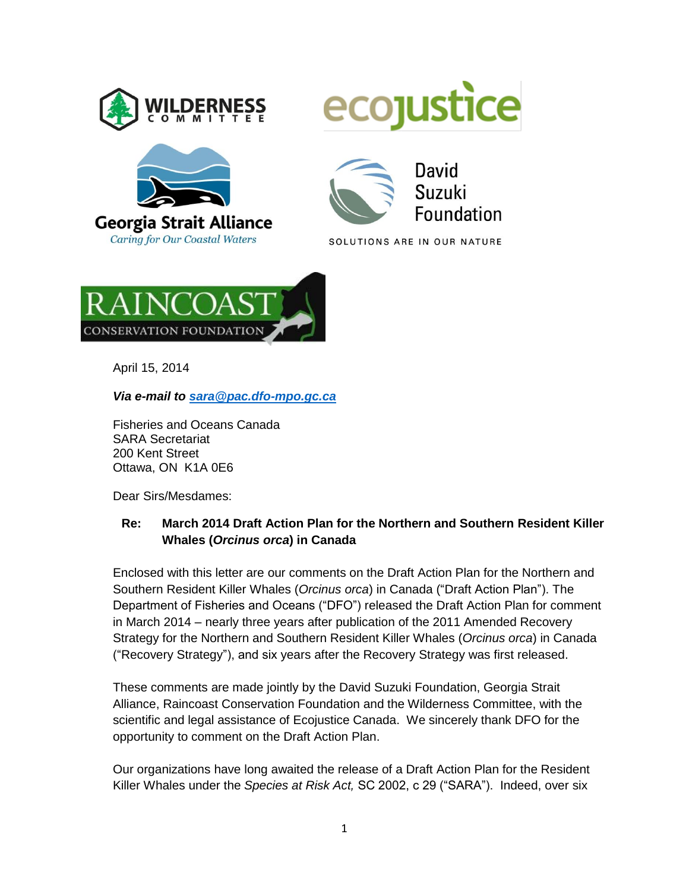



**Caring for Our Coastal Waters** 





SOLUTIONS ARE IN OUR NATURE



April 15, 2014

*Via e-mail to [sara@pac.dfo-mpo.gc.ca](mailto:sara@pac.dfo-mpo.gc.ca)*

Fisheries and Oceans Canada SARA Secretariat 200 Kent Street Ottawa, ON K1A 0E6

Dear Sirs/Mesdames:

#### **Re: March 2014 Draft Action Plan for the Northern and Southern Resident Killer Whales (***Orcinus orca***) in Canada**

Enclosed with this letter are our comments on the Draft Action Plan for the Northern and Southern Resident Killer Whales (*Orcinus orca*) in Canada ("Draft Action Plan"). The Department of Fisheries and Oceans ("DFO") released the Draft Action Plan for comment in March 2014 – nearly three years after publication of the 2011 Amended Recovery Strategy for the Northern and Southern Resident Killer Whales (*Orcinus orca*) in Canada ("Recovery Strategy"), and six years after the Recovery Strategy was first released.

These comments are made jointly by the David Suzuki Foundation, Georgia Strait Alliance, Raincoast Conservation Foundation and the Wilderness Committee, with the scientific and legal assistance of Ecojustice Canada. We sincerely thank DFO for the opportunity to comment on the Draft Action Plan.

Our organizations have long awaited the release of a Draft Action Plan for the Resident Killer Whales under the *Species at Risk Act,* SC 2002, c 29 ("SARA"). Indeed, over six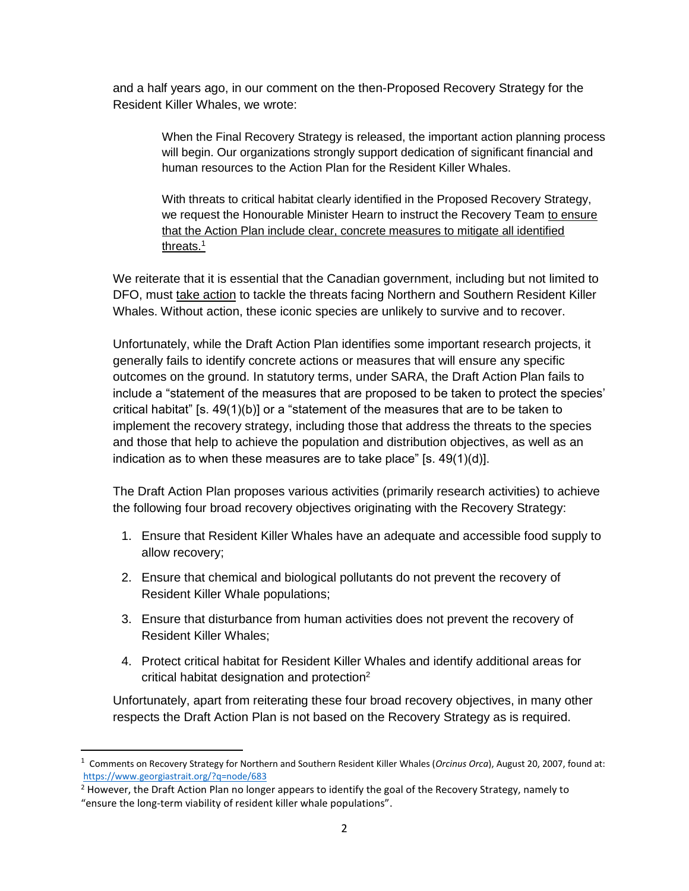and a half years ago, in our comment on the then-Proposed Recovery Strategy for the Resident Killer Whales, we wrote:

> When the Final Recovery Strategy is released, the important action planning process will begin. Our organizations strongly support dedication of significant financial and human resources to the Action Plan for the Resident Killer Whales.

With threats to critical habitat clearly identified in the Proposed Recovery Strategy, we request the Honourable Minister Hearn to instruct the Recovery Team to ensure that the Action Plan include clear, concrete measures to mitigate all identified threats.<sup>1</sup>

We reiterate that it is essential that the Canadian government, including but not limited to DFO, must take action to tackle the threats facing Northern and Southern Resident Killer Whales. Without action, these iconic species are unlikely to survive and to recover.

Unfortunately, while the Draft Action Plan identifies some important research projects, it generally fails to identify concrete actions or measures that will ensure any specific outcomes on the ground. In statutory terms, under SARA, the Draft Action Plan fails to include a "statement of the measures that are proposed to be taken to protect the species' critical habitat" [s. 49(1)(b)] or a "statement of the measures that are to be taken to implement the recovery strategy, including those that address the threats to the species and those that help to achieve the population and distribution objectives, as well as an indication as to when these measures are to take place" [s. 49(1)(d)].

The Draft Action Plan proposes various activities (primarily research activities) to achieve the following four broad recovery objectives originating with the Recovery Strategy:

- 1. Ensure that Resident Killer Whales have an adequate and accessible food supply to allow recovery;
- 2. Ensure that chemical and biological pollutants do not prevent the recovery of Resident Killer Whale populations;
- 3. Ensure that disturbance from human activities does not prevent the recovery of Resident Killer Whales;
- 4. Protect critical habitat for Resident Killer Whales and identify additional areas for critical habitat designation and protection<sup>2</sup>

Unfortunately, apart from reiterating these four broad recovery objectives, in many other respects the Draft Action Plan is not based on the Recovery Strategy as is required.

l

<sup>1</sup> Comments on Recovery Strategy for Northern and Southern Resident Killer Whales (*Orcinus Orca*), August 20, 2007, found at: <https://www.georgiastrait.org/?q=node/683>

<sup>&</sup>lt;sup>2</sup> However, the Draft Action Plan no longer appears to identify the goal of the Recovery Strategy, namely to "ensure the long-term viability of resident killer whale populations".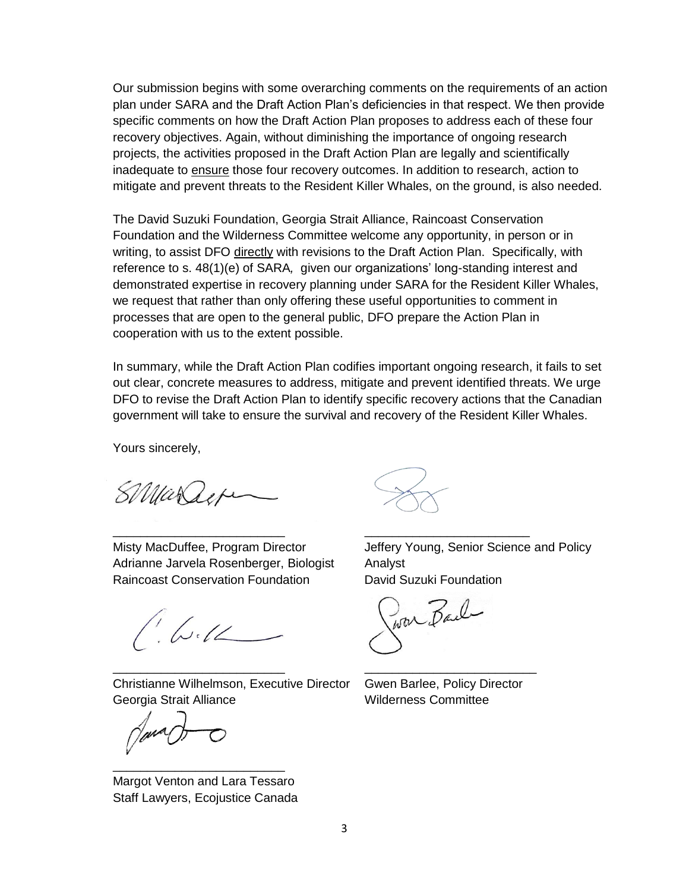Our submission begins with some overarching comments on the requirements of an action plan under SARA and the Draft Action Plan's deficiencies in that respect. We then provide specific comments on how the Draft Action Plan proposes to address each of these four recovery objectives. Again, without diminishing the importance of ongoing research projects, the activities proposed in the Draft Action Plan are legally and scientifically inadequate to ensure those four recovery outcomes. In addition to research, action to mitigate and prevent threats to the Resident Killer Whales, on the ground, is also needed.

The David Suzuki Foundation, Georgia Strait Alliance, Raincoast Conservation Foundation and the Wilderness Committee welcome any opportunity, in person or in writing, to assist DFO directly with revisions to the Draft Action Plan. Specifically, with reference to s. 48(1)(e) of SARA*,* given our organizations' long-standing interest and demonstrated expertise in recovery planning under SARA for the Resident Killer Whales, we request that rather than only offering these useful opportunities to comment in processes that are open to the general public, DFO prepare the Action Plan in cooperation with us to the extent possible.

In summary, while the Draft Action Plan codifies important ongoing research, it fails to set out clear, concrete measures to address, mitigate and prevent identified threats. We urge DFO to revise the Draft Action Plan to identify specific recovery actions that the Canadian government will take to ensure the survival and recovery of the Resident Killer Whales.

\_\_\_\_\_\_\_\_\_\_\_\_\_\_\_\_\_\_\_\_\_\_\_\_\_ \_\_\_\_\_\_\_\_\_\_\_\_\_\_\_\_\_\_\_\_\_\_\_\_

\_\_\_\_\_\_\_\_\_\_\_\_\_\_\_\_\_\_\_\_\_\_\_\_\_ \_\_\_\_\_\_\_\_\_\_\_\_\_\_\_\_\_\_\_\_\_\_\_\_\_

Yours sincerely,

SMarage

Adrianne Jarvela Rosenberger, Biologist Analyst Raincoast Conservation Foundation David Suzuki Foundation

 $1.642$ 

Christianne Wilhelmson, Executive Director Gwen Barlee, Policy Director Georgia Strait Alliance Wilderness Committee

Margot Venton and Lara Tessaro Staff Lawyers, Ecojustice Canada

\_\_\_\_\_\_\_\_\_\_\_\_\_\_\_\_\_\_\_\_\_\_\_\_\_

Misty MacDuffee, Program Director Jeffery Young, Senior Science and Policy

Poor Bail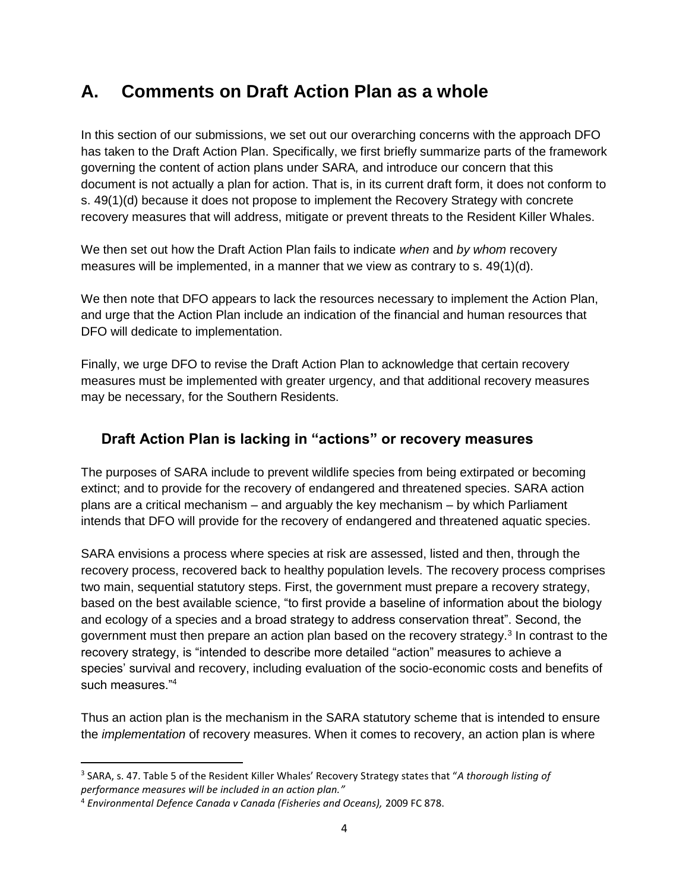# **A. Comments on Draft Action Plan as a whole**

In this section of our submissions, we set out our overarching concerns with the approach DFO has taken to the Draft Action Plan. Specifically, we first briefly summarize parts of the framework governing the content of action plans under SARA*,* and introduce our concern that this document is not actually a plan for action. That is, in its current draft form, it does not conform to s. 49(1)(d) because it does not propose to implement the Recovery Strategy with concrete recovery measures that will address, mitigate or prevent threats to the Resident Killer Whales.

We then set out how the Draft Action Plan fails to indicate *when* and *by whom* recovery measures will be implemented, in a manner that we view as contrary to s. 49(1)(d).

We then note that DFO appears to lack the resources necessary to implement the Action Plan, and urge that the Action Plan include an indication of the financial and human resources that DFO will dedicate to implementation.

Finally, we urge DFO to revise the Draft Action Plan to acknowledge that certain recovery measures must be implemented with greater urgency, and that additional recovery measures may be necessary, for the Southern Residents.

### **Draft Action Plan is lacking in "actions" or recovery measures**

The purposes of SARA include to prevent wildlife species from being extirpated or becoming extinct; and to provide for the recovery of endangered and threatened species. SARA action plans are a critical mechanism – and arguably the key mechanism – by which Parliament intends that DFO will provide for the recovery of endangered and threatened aquatic species.

SARA envisions a process where species at risk are assessed, listed and then, through the recovery process, recovered back to healthy population levels. The recovery process comprises two main, sequential statutory steps. First, the government must prepare a recovery strategy, based on the best available science, "to first provide a baseline of information about the biology and ecology of a species and a broad strategy to address conservation threat". Second, the government must then prepare an action plan based on the recovery strategy.<sup>3</sup> In contrast to the recovery strategy, is "intended to describe more detailed "action" measures to achieve a species' survival and recovery, including evaluation of the socio-economic costs and benefits of such measures."<sup>4</sup>

Thus an action plan is the mechanism in the SARA statutory scheme that is intended to ensure the *implementation* of recovery measures. When it comes to recovery, an action plan is where

 $\overline{\phantom{a}}$ 

<sup>3</sup> SARA, s. 47. Table 5 of the Resident Killer Whales' Recovery Strategy states that "*A thorough listing of performance measures will be included in an action plan."*

<sup>4</sup> *Environmental Defence Canada v Canada (Fisheries and Oceans),* 2009 FC 878.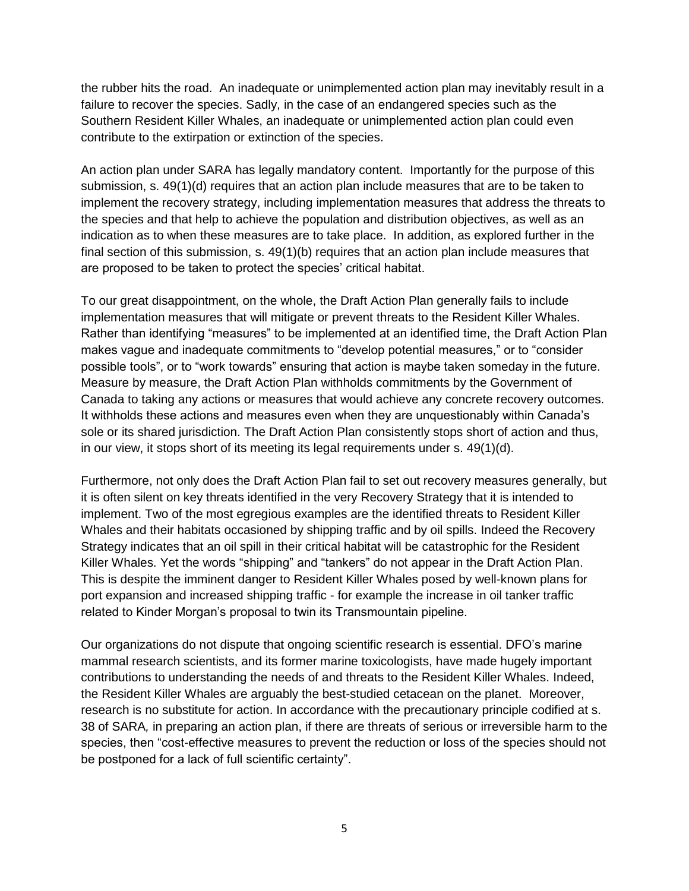the rubber hits the road. An inadequate or unimplemented action plan may inevitably result in a failure to recover the species. Sadly, in the case of an endangered species such as the Southern Resident Killer Whales, an inadequate or unimplemented action plan could even contribute to the extirpation or extinction of the species.

An action plan under SARA has legally mandatory content. Importantly for the purpose of this submission, s. 49(1)(d) requires that an action plan include measures that are to be taken to implement the recovery strategy, including implementation measures that address the threats to the species and that help to achieve the population and distribution objectives, as well as an indication as to when these measures are to take place. In addition, as explored further in the final section of this submission, s. 49(1)(b) requires that an action plan include measures that are proposed to be taken to protect the species' critical habitat.

To our great disappointment, on the whole, the Draft Action Plan generally fails to include implementation measures that will mitigate or prevent threats to the Resident Killer Whales. Rather than identifying "measures" to be implemented at an identified time, the Draft Action Plan makes vague and inadequate commitments to "develop potential measures," or to "consider possible tools", or to "work towards" ensuring that action is maybe taken someday in the future. Measure by measure, the Draft Action Plan withholds commitments by the Government of Canada to taking any actions or measures that would achieve any concrete recovery outcomes. It withholds these actions and measures even when they are unquestionably within Canada's sole or its shared jurisdiction. The Draft Action Plan consistently stops short of action and thus, in our view, it stops short of its meeting its legal requirements under s. 49(1)(d).

Furthermore, not only does the Draft Action Plan fail to set out recovery measures generally, but it is often silent on key threats identified in the very Recovery Strategy that it is intended to implement. Two of the most egregious examples are the identified threats to Resident Killer Whales and their habitats occasioned by shipping traffic and by oil spills. Indeed the Recovery Strategy indicates that an oil spill in their critical habitat will be catastrophic for the Resident Killer Whales. Yet the words "shipping" and "tankers" do not appear in the Draft Action Plan. This is despite the imminent danger to Resident Killer Whales posed by well-known plans for port expansion and increased shipping traffic - for example the increase in oil tanker traffic related to Kinder Morgan's proposal to twin its Transmountain pipeline.

Our organizations do not dispute that ongoing scientific research is essential. DFO's marine mammal research scientists, and its former marine toxicologists, have made hugely important contributions to understanding the needs of and threats to the Resident Killer Whales. Indeed, the Resident Killer Whales are arguably the best-studied cetacean on the planet. Moreover, research is no substitute for action. In accordance with the precautionary principle codified at s. 38 of SARA*,* in preparing an action plan, if there are threats of serious or irreversible harm to the species, then "cost-effective measures to prevent the reduction or loss of the species should not be postponed for a lack of full scientific certainty".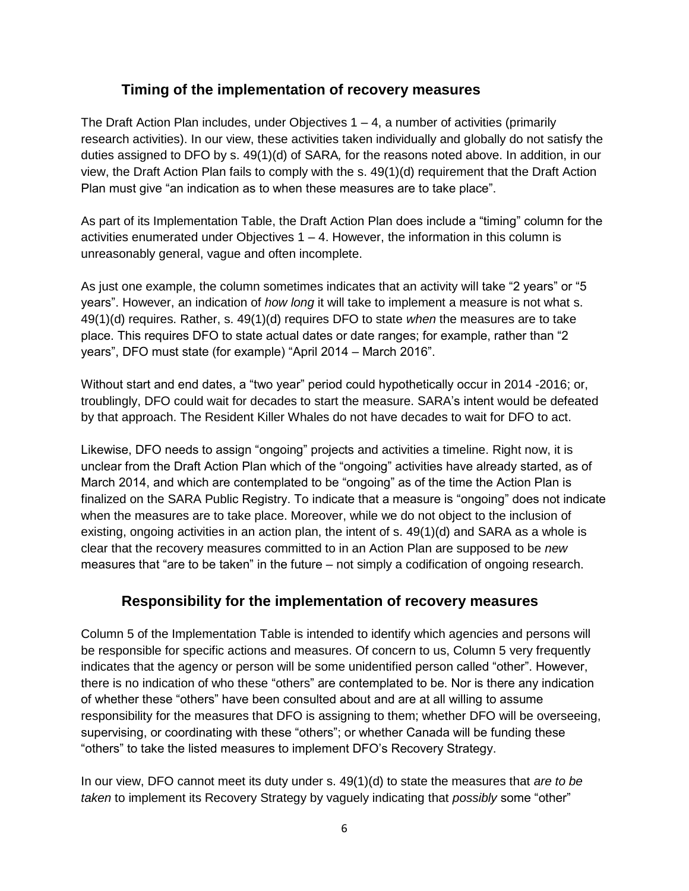#### **Timing of the implementation of recovery measures**

The Draft Action Plan includes, under Objectives  $1 - 4$ , a number of activities (primarily research activities). In our view, these activities taken individually and globally do not satisfy the duties assigned to DFO by s. 49(1)(d) of SARA*,* for the reasons noted above. In addition, in our view, the Draft Action Plan fails to comply with the s. 49(1)(d) requirement that the Draft Action Plan must give "an indication as to when these measures are to take place".

As part of its Implementation Table, the Draft Action Plan does include a "timing" column for the activities enumerated under Objectives  $1 - 4$ . However, the information in this column is unreasonably general, vague and often incomplete.

As just one example, the column sometimes indicates that an activity will take "2 years" or "5 years". However, an indication of *how long* it will take to implement a measure is not what s. 49(1)(d) requires. Rather, s. 49(1)(d) requires DFO to state *when* the measures are to take place. This requires DFO to state actual dates or date ranges; for example, rather than "2 years", DFO must state (for example) "April 2014 – March 2016".

Without start and end dates, a "two year" period could hypothetically occur in 2014 -2016; or, troublingly, DFO could wait for decades to start the measure. SARA's intent would be defeated by that approach. The Resident Killer Whales do not have decades to wait for DFO to act.

Likewise, DFO needs to assign "ongoing" projects and activities a timeline. Right now, it is unclear from the Draft Action Plan which of the "ongoing" activities have already started, as of March 2014, and which are contemplated to be "ongoing" as of the time the Action Plan is finalized on the SARA Public Registry. To indicate that a measure is "ongoing" does not indicate when the measures are to take place. Moreover, while we do not object to the inclusion of existing, ongoing activities in an action plan, the intent of s. 49(1)(d) and SARA as a whole is clear that the recovery measures committed to in an Action Plan are supposed to be *new*  measures that "are to be taken" in the future – not simply a codification of ongoing research.

## **Responsibility for the implementation of recovery measures**

Column 5 of the Implementation Table is intended to identify which agencies and persons will be responsible for specific actions and measures. Of concern to us, Column 5 very frequently indicates that the agency or person will be some unidentified person called "other". However, there is no indication of who these "others" are contemplated to be. Nor is there any indication of whether these "others" have been consulted about and are at all willing to assume responsibility for the measures that DFO is assigning to them; whether DFO will be overseeing, supervising, or coordinating with these "others"; or whether Canada will be funding these "others" to take the listed measures to implement DFO's Recovery Strategy.

In our view, DFO cannot meet its duty under s. 49(1)(d) to state the measures that *are to be taken* to implement its Recovery Strategy by vaguely indicating that *possibly* some "other"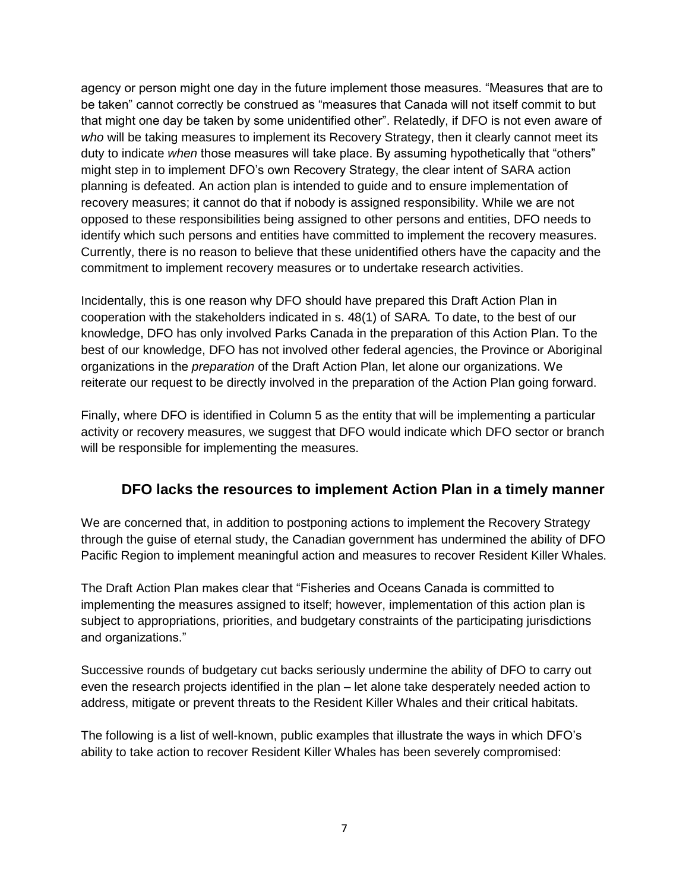agency or person might one day in the future implement those measures. "Measures that are to be taken" cannot correctly be construed as "measures that Canada will not itself commit to but that might one day be taken by some unidentified other". Relatedly, if DFO is not even aware of *who* will be taking measures to implement its Recovery Strategy, then it clearly cannot meet its duty to indicate *when* those measures will take place. By assuming hypothetically that "others" might step in to implement DFO's own Recovery Strategy, the clear intent of SARA action planning is defeated. An action plan is intended to guide and to ensure implementation of recovery measures; it cannot do that if nobody is assigned responsibility. While we are not opposed to these responsibilities being assigned to other persons and entities, DFO needs to identify which such persons and entities have committed to implement the recovery measures. Currently, there is no reason to believe that these unidentified others have the capacity and the commitment to implement recovery measures or to undertake research activities.

Incidentally, this is one reason why DFO should have prepared this Draft Action Plan in cooperation with the stakeholders indicated in s. 48(1) of SARA*.* To date, to the best of our knowledge, DFO has only involved Parks Canada in the preparation of this Action Plan. To the best of our knowledge, DFO has not involved other federal agencies, the Province or Aboriginal organizations in the *preparation* of the Draft Action Plan, let alone our organizations. We reiterate our request to be directly involved in the preparation of the Action Plan going forward.

Finally, where DFO is identified in Column 5 as the entity that will be implementing a particular activity or recovery measures, we suggest that DFO would indicate which DFO sector or branch will be responsible for implementing the measures.

## **DFO lacks the resources to implement Action Plan in a timely manner**

We are concerned that, in addition to postponing actions to implement the Recovery Strategy through the guise of eternal study, the Canadian government has undermined the ability of DFO Pacific Region to implement meaningful action and measures to recover Resident Killer Whales.

The Draft Action Plan makes clear that "Fisheries and Oceans Canada is committed to implementing the measures assigned to itself; however, implementation of this action plan is subject to appropriations, priorities, and budgetary constraints of the participating jurisdictions and organizations."

Successive rounds of budgetary cut backs seriously undermine the ability of DFO to carry out even the research projects identified in the plan – let alone take desperately needed action to address, mitigate or prevent threats to the Resident Killer Whales and their critical habitats.

The following is a list of well-known, public examples that illustrate the ways in which DFO's ability to take action to recover Resident Killer Whales has been severely compromised: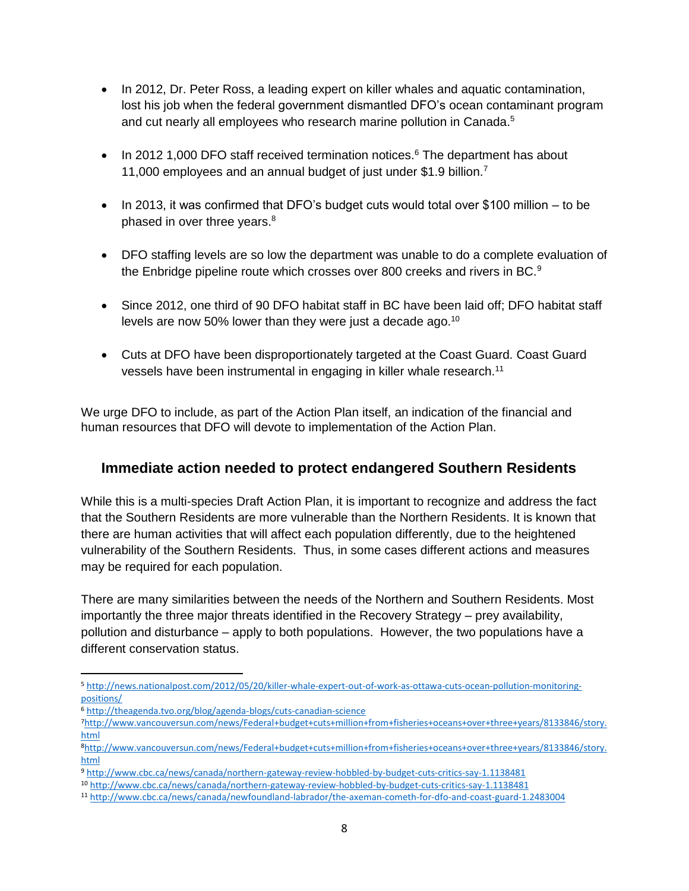- In 2012, Dr. Peter Ross, a leading expert on killer whales and aquatic contamination, lost his job when the federal government dismantled DFO's ocean contaminant program and cut nearly all employees who research marine pollution in Canada.<sup>5</sup>
- $\bullet$  In 2012 1,000 DFO staff received termination notices.<sup>6</sup> The department has about 11,000 employees and an annual budget of just under \$1.9 billion.<sup>7</sup>
- $\bullet$  In 2013, it was confirmed that DFO's budget cuts would total over \$100 million  $-$  to be phased in over three years.<sup>8</sup>
- DFO staffing levels are so low the department was unable to do a complete evaluation of the Enbridge pipeline route which crosses over 800 creeks and rivers in BC.<sup>9</sup>
- Since 2012, one third of 90 DFO habitat staff in BC have been laid off; DFO habitat staff levels are now 50% lower than they were just a decade ago.<sup>10</sup>
- Cuts at DFO have been disproportionately targeted at the Coast Guard. Coast Guard vessels have been instrumental in engaging in killer whale research.<sup>11</sup>

We urge DFO to include, as part of the Action Plan itself, an indication of the financial and human resources that DFO will devote to implementation of the Action Plan.

## **Immediate action needed to protect endangered Southern Residents**

While this is a multi-species Draft Action Plan, it is important to recognize and address the fact that the Southern Residents are more vulnerable than the Northern Residents. It is known that there are human activities that will affect each population differently, due to the heightened vulnerability of the Southern Residents. Thus, in some cases different actions and measures may be required for each population.

There are many similarities between the needs of the Northern and Southern Residents. Most importantly the three major threats identified in the Recovery Strategy – prey availability, pollution and disturbance – apply to both populations. However, the two populations have a different conservation status.

<sup>6</sup> <http://theagenda.tvo.org/blog/agenda-blogs/cuts-canadian-science>

 $\overline{\phantom{a}}$ 

<sup>5</sup> [http://news.nationalpost.com/2012/05/20/killer-whale-expert-out-of-work-as-ottawa-cuts-ocean-pollution-monitoring](http://news.nationalpost.com/2012/05/20/killer-whale-expert-out-of-work-as-ottawa-cuts-ocean-pollution-monitoring-positions/)[positions/](http://news.nationalpost.com/2012/05/20/killer-whale-expert-out-of-work-as-ottawa-cuts-ocean-pollution-monitoring-positions/)

<sup>7</sup>[http://www.vancouversun.com/news/Federal+budget+cuts+million+from+fisheries+oceans+over+three+years/8133846/story.](http://www.vancouversun.com/news/Federal+budget+cuts+million+from+fisheries+oceans+over+three+years/8133846/story.html) [html](http://www.vancouversun.com/news/Federal+budget+cuts+million+from+fisheries+oceans+over+three+years/8133846/story.html)

<sup>8</sup>[http://www.vancouversun.com/news/Federal+budget+cuts+million+from+fisheries+oceans+over+three+years/8133846/story.](http://www.vancouversun.com/news/Federal+budget+cuts+million+from+fisheries+oceans+over+three+years/8133846/story.html) [html](http://www.vancouversun.com/news/Federal+budget+cuts+million+from+fisheries+oceans+over+three+years/8133846/story.html)

<sup>9</sup> <http://www.cbc.ca/news/canada/northern-gateway-review-hobbled-by-budget-cuts-critics-say-1.1138481>

<sup>10</sup> <http://www.cbc.ca/news/canada/northern-gateway-review-hobbled-by-budget-cuts-critics-say-1.1138481>

<sup>11</sup> <http://www.cbc.ca/news/canada/newfoundland-labrador/the-axeman-cometh-for-dfo-and-coast-guard-1.2483004>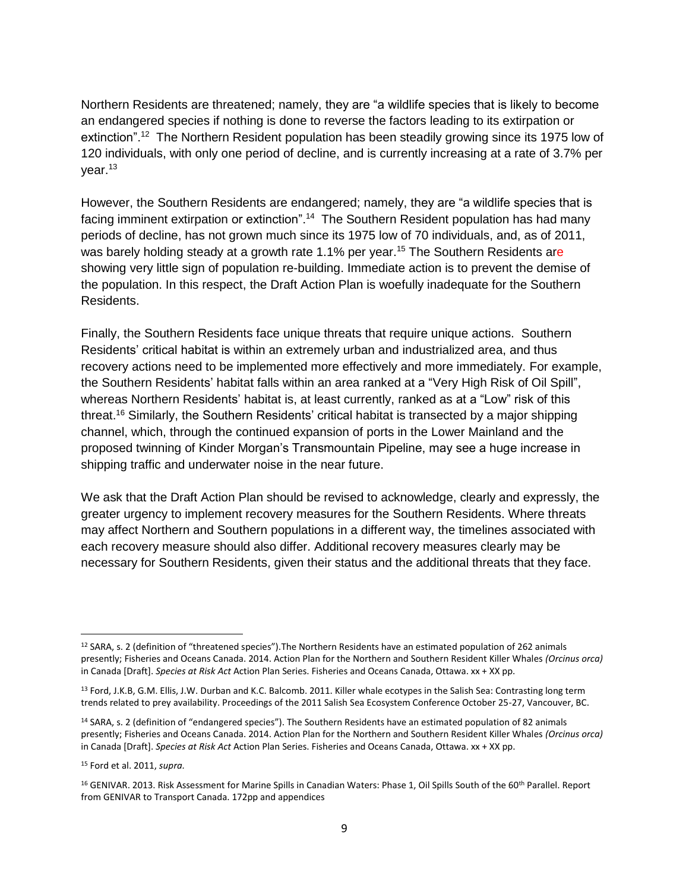Northern Residents are threatened; namely, they are "a wildlife species that is likely to become an endangered species if nothing is done to reverse the factors leading to its extirpation or extinction".<sup>12</sup> The Northern Resident population has been steadily growing since its 1975 low of 120 individuals, with only one period of decline, and is currently increasing at a rate of 3.7% per year.<sup>13</sup>

However, the Southern Residents are endangered; namely, they are "a wildlife species that is facing imminent extirpation or extinction".<sup>14</sup> The Southern Resident population has had many periods of decline, has not grown much since its 1975 low of 70 individuals, and, as of 2011, was barely holding steady at a growth rate 1.1% per year.<sup>15</sup> The Southern Residents are showing very little sign of population re-building. Immediate action is to prevent the demise of the population. In this respect, the Draft Action Plan is woefully inadequate for the Southern Residents.

Finally, the Southern Residents face unique threats that require unique actions. Southern Residents' critical habitat is within an extremely urban and industrialized area, and thus recovery actions need to be implemented more effectively and more immediately. For example, the Southern Residents' habitat falls within an area ranked at a "Very High Risk of Oil Spill", whereas Northern Residents' habitat is, at least currently, ranked as at a "Low" risk of this threat.<sup>16</sup> Similarly, the Southern Residents' critical habitat is transected by a major shipping channel, which, through the continued expansion of ports in the Lower Mainland and the proposed twinning of Kinder Morgan's Transmountain Pipeline, may see a huge increase in shipping traffic and underwater noise in the near future.

We ask that the Draft Action Plan should be revised to acknowledge, clearly and expressly, the greater urgency to implement recovery measures for the Southern Residents. Where threats may affect Northern and Southern populations in a different way, the timelines associated with each recovery measure should also differ. Additional recovery measures clearly may be necessary for Southern Residents, given their status and the additional threats that they face.

 $\overline{\phantom{a}}$ <sup>12</sup> SARA, s. 2 (definition of "threatened species").The Northern Residents have an estimated population of 262 animals presently; Fisheries and Oceans Canada. 2014. Action Plan for the Northern and Southern Resident Killer Whales *(Orcinus orca)*  in Canada [Draft]. *Species at Risk Act* Action Plan Series. Fisheries and Oceans Canada, Ottawa. xx + XX pp.

<sup>&</sup>lt;sup>13</sup> Ford, J.K.B, G.M. Ellis, J.W. Durban and K.C. Balcomb. 2011. Killer whale ecotypes in the Salish Sea: Contrasting long term trends related to prey availability. Proceedings of the 2011 Salish Sea Ecosystem Conference October 25-27, Vancouver, BC.

<sup>14</sup> SARA, s. 2 (definition of "endangered species"). The Southern Residents have an estimated population of 82 animals presently; Fisheries and Oceans Canada. 2014. Action Plan for the Northern and Southern Resident Killer Whales *(Orcinus orca)*  in Canada [Draft]. *Species at Risk Act* Action Plan Series. Fisheries and Oceans Canada, Ottawa. xx + XX pp.

<sup>15</sup> Ford et al. 2011, *supra.*

<sup>&</sup>lt;sup>16</sup> GENIVAR. 2013. Risk Assessment for Marine Spills in Canadian Waters: Phase 1, Oil Spills South of the 60<sup>th</sup> Parallel. Report from GENIVAR to Transport Canada. 172pp and appendices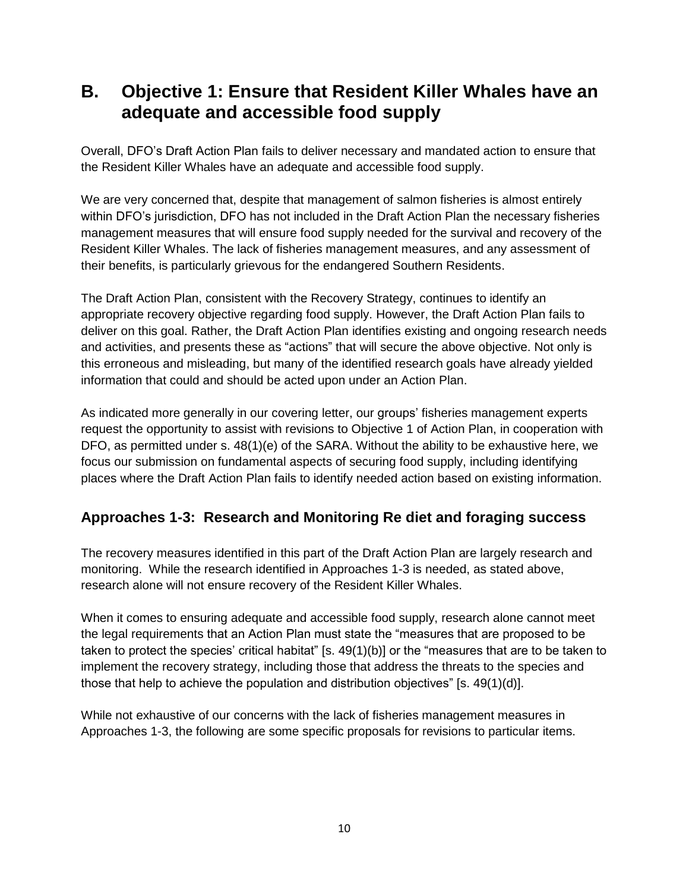# **B. Objective 1: Ensure that Resident Killer Whales have an adequate and accessible food supply**

Overall, DFO's Draft Action Plan fails to deliver necessary and mandated action to ensure that the Resident Killer Whales have an adequate and accessible food supply.

We are very concerned that, despite that management of salmon fisheries is almost entirely within DFO's jurisdiction, DFO has not included in the Draft Action Plan the necessary fisheries management measures that will ensure food supply needed for the survival and recovery of the Resident Killer Whales. The lack of fisheries management measures, and any assessment of their benefits, is particularly grievous for the endangered Southern Residents.

The Draft Action Plan, consistent with the Recovery Strategy, continues to identify an appropriate recovery objective regarding food supply. However, the Draft Action Plan fails to deliver on this goal. Rather, the Draft Action Plan identifies existing and ongoing research needs and activities, and presents these as "actions" that will secure the above objective. Not only is this erroneous and misleading, but many of the identified research goals have already yielded information that could and should be acted upon under an Action Plan.

As indicated more generally in our covering letter, our groups' fisheries management experts request the opportunity to assist with revisions to Objective 1 of Action Plan, in cooperation with DFO, as permitted under s. 48(1)(e) of the SARA. Without the ability to be exhaustive here, we focus our submission on fundamental aspects of securing food supply, including identifying places where the Draft Action Plan fails to identify needed action based on existing information.

## **Approaches 1-3: Research and Monitoring Re diet and foraging success**

The recovery measures identified in this part of the Draft Action Plan are largely research and monitoring. While the research identified in Approaches 1-3 is needed, as stated above, research alone will not ensure recovery of the Resident Killer Whales.

When it comes to ensuring adequate and accessible food supply, research alone cannot meet the legal requirements that an Action Plan must state the "measures that are proposed to be taken to protect the species' critical habitat" [s. 49(1)(b)] or the "measures that are to be taken to implement the recovery strategy, including those that address the threats to the species and those that help to achieve the population and distribution objectives" [s. 49(1)(d)].

While not exhaustive of our concerns with the lack of fisheries management measures in Approaches 1-3, the following are some specific proposals for revisions to particular items.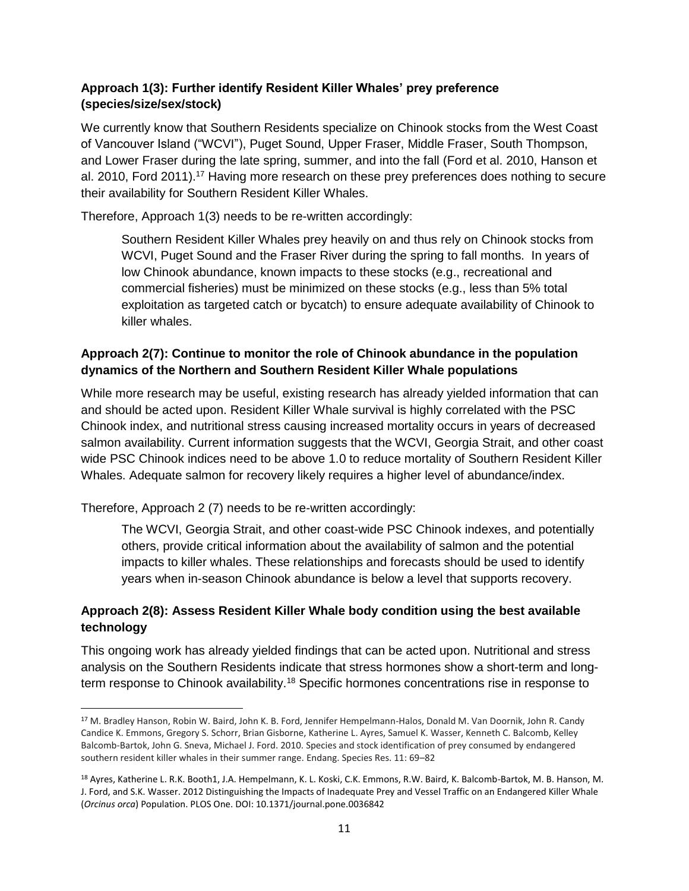#### **Approach 1(3): Further identify Resident Killer Whales' prey preference (species/size/sex/stock)**

We currently know that Southern Residents specialize on Chinook stocks from the West Coast of Vancouver Island ("WCVI"), Puget Sound, Upper Fraser, Middle Fraser, South Thompson, and Lower Fraser during the late spring, summer, and into the fall (Ford et al. 2010, Hanson et al. 2010, Ford 2011).<sup>17</sup> Having more research on these prey preferences does nothing to secure their availability for Southern Resident Killer Whales.

Therefore, Approach 1(3) needs to be re-written accordingly:

Southern Resident Killer Whales prey heavily on and thus rely on Chinook stocks from WCVI, Puget Sound and the Fraser River during the spring to fall months. In years of low Chinook abundance, known impacts to these stocks (e.g., recreational and commercial fisheries) must be minimized on these stocks (e.g., less than 5% total exploitation as targeted catch or bycatch) to ensure adequate availability of Chinook to killer whales.

#### **Approach 2(7): Continue to monitor the role of Chinook abundance in the population dynamics of the Northern and Southern Resident Killer Whale populations**

While more research may be useful, existing research has already yielded information that can and should be acted upon. Resident Killer Whale survival is highly correlated with the PSC Chinook index, and nutritional stress causing increased mortality occurs in years of decreased salmon availability. Current information suggests that the WCVI, Georgia Strait, and other coast wide PSC Chinook indices need to be above 1.0 to reduce mortality of Southern Resident Killer Whales. Adequate salmon for recovery likely requires a higher level of abundance/index.

Therefore, Approach 2 (7) needs to be re-written accordingly:

 $\overline{a}$ 

The WCVI, Georgia Strait, and other coast-wide PSC Chinook indexes, and potentially others, provide critical information about the availability of salmon and the potential impacts to killer whales. These relationships and forecasts should be used to identify years when in-season Chinook abundance is below a level that supports recovery.

#### **Approach 2(8): Assess Resident Killer Whale body condition using the best available technology**

This ongoing work has already yielded findings that can be acted upon. Nutritional and stress analysis on the Southern Residents indicate that stress hormones show a short-term and longterm response to Chinook availability.<sup>18</sup> Specific hormones concentrations rise in response to

<sup>17</sup> M. Bradley Hanson, Robin W. Baird, John K. B. Ford, Jennifer Hempelmann-Halos, Donald M. Van Doornik, John R. Candy Candice K. Emmons, Gregory S. Schorr, Brian Gisborne, Katherine L. Ayres, Samuel K. Wasser, Kenneth C. Balcomb, Kelley Balcomb-Bartok, John G. Sneva, Michael J. Ford. 2010. Species and stock identification of prey consumed by endangered southern resident killer whales in their summer range. Endang. Species Res. 11: 69–82

<sup>18</sup> Ayres, Katherine L. R.K. Booth1, J.A. Hempelmann, K. L. Koski, C.K. Emmons, R.W. Baird, K. Balcomb-Bartok, M. B. Hanson, M. J. Ford, and S.K. Wasser. 2012 Distinguishing the Impacts of Inadequate Prey and Vessel Traffic on an Endangered Killer Whale (*Orcinus orca*) Population. PLOS One. DOI: 10.1371/journal.pone.0036842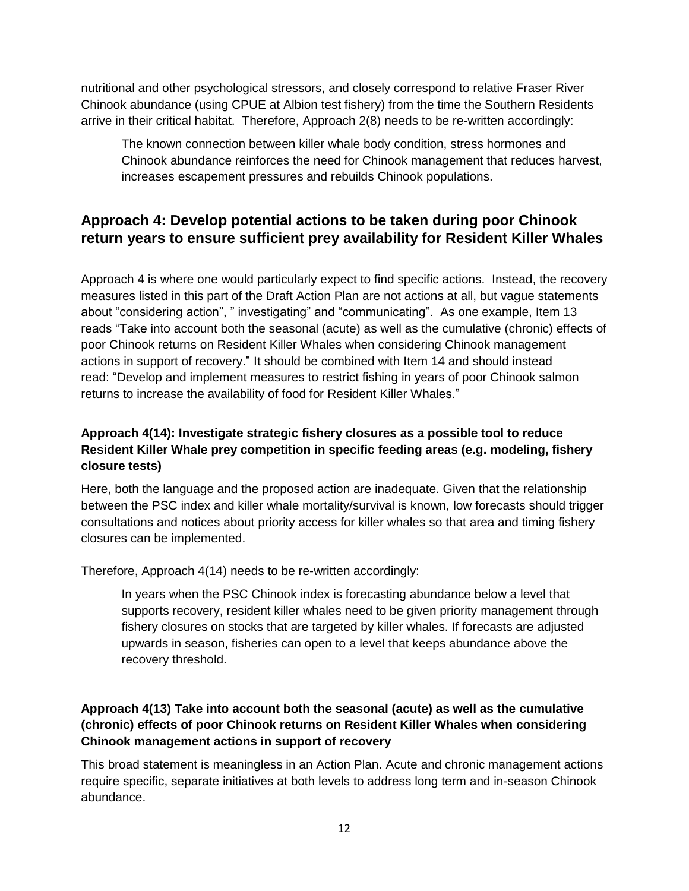nutritional and other psychological stressors, and closely correspond to relative Fraser River Chinook abundance (using CPUE at Albion test fishery) from the time the Southern Residents arrive in their critical habitat. Therefore, Approach 2(8) needs to be re-written accordingly:

The known connection between killer whale body condition, stress hormones and Chinook abundance reinforces the need for Chinook management that reduces harvest, increases escapement pressures and rebuilds Chinook populations.

## **Approach 4: Develop potential actions to be taken during poor Chinook return years to ensure sufficient prey availability for Resident Killer Whales**

Approach 4 is where one would particularly expect to find specific actions. Instead, the recovery measures listed in this part of the Draft Action Plan are not actions at all, but vague statements about "considering action", " investigating" and "communicating". As one example, Item 13 reads "Take into account both the seasonal (acute) as well as the cumulative (chronic) effects of poor Chinook returns on Resident Killer Whales when considering Chinook management actions in support of recovery." It should be combined with Item 14 and should instead read: "Develop and implement measures to restrict fishing in years of poor Chinook salmon returns to increase the availability of food for Resident Killer Whales."

#### **Approach 4(14): Investigate strategic fishery closures as a possible tool to reduce Resident Killer Whale prey competition in specific feeding areas (e.g. modeling, fishery closure tests)**

Here, both the language and the proposed action are inadequate. Given that the relationship between the PSC index and killer whale mortality/survival is known, low forecasts should trigger consultations and notices about priority access for killer whales so that area and timing fishery closures can be implemented.

Therefore, Approach 4(14) needs to be re-written accordingly:

In years when the PSC Chinook index is forecasting abundance below a level that supports recovery, resident killer whales need to be given priority management through fishery closures on stocks that are targeted by killer whales. If forecasts are adjusted upwards in season, fisheries can open to a level that keeps abundance above the recovery threshold.

#### **Approach 4(13) Take into account both the seasonal (acute) as well as the cumulative (chronic) effects of poor Chinook returns on Resident Killer Whales when considering Chinook management actions in support of recovery**

This broad statement is meaningless in an Action Plan. Acute and chronic management actions require specific, separate initiatives at both levels to address long term and in-season Chinook abundance.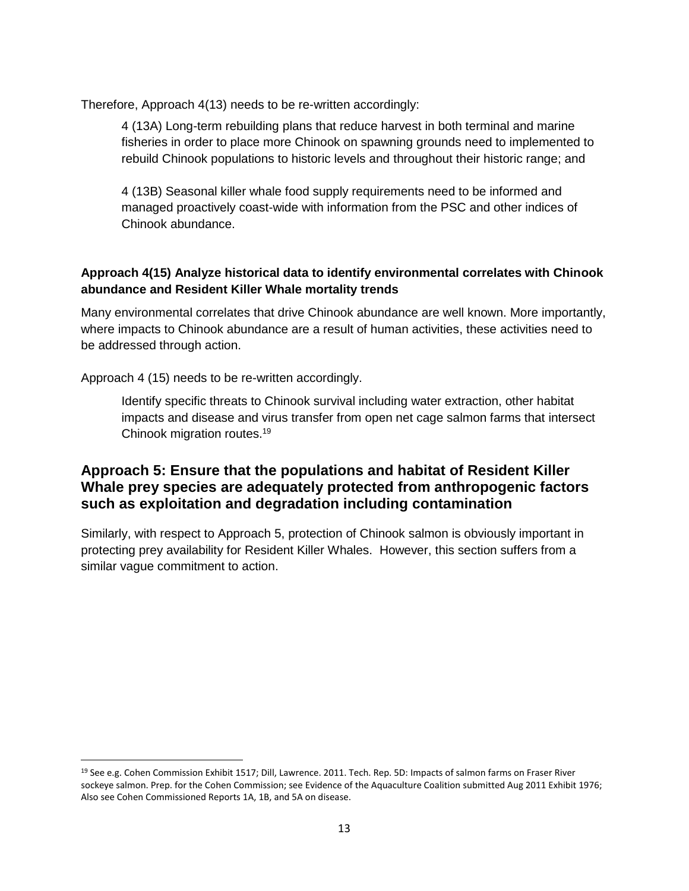Therefore, Approach 4(13) needs to be re-written accordingly:

4 (13A) Long-term rebuilding plans that reduce harvest in both terminal and marine fisheries in order to place more Chinook on spawning grounds need to implemented to rebuild Chinook populations to historic levels and throughout their historic range; and

4 (13B) Seasonal killer whale food supply requirements need to be informed and managed proactively coast-wide with information from the PSC and other indices of Chinook abundance.

#### **Approach 4(15) Analyze historical data to identify environmental correlates with Chinook abundance and Resident Killer Whale mortality trends**

Many environmental correlates that drive Chinook abundance are well known. More importantly, where impacts to Chinook abundance are a result of human activities, these activities need to be addressed through action.

Approach 4 (15) needs to be re-written accordingly.

l

Identify specific threats to Chinook survival including water extraction, other habitat impacts and disease and virus transfer from open net cage salmon farms that intersect Chinook migration routes.<sup>19</sup>

#### **Approach 5: Ensure that the populations and habitat of Resident Killer Whale prey species are adequately protected from anthropogenic factors such as exploitation and degradation including contamination**

Similarly, with respect to Approach 5, protection of Chinook salmon is obviously important in protecting prey availability for Resident Killer Whales. However, this section suffers from a similar vague commitment to action.

<sup>19</sup> See e.g. Cohen Commission Exhibit 1517; Dill, Lawrence. 2011. Tech. Rep. 5D: Impacts of salmon farms on Fraser River sockeye salmon. Prep. for the Cohen Commission; see Evidence of the Aquaculture Coalition submitted Aug 2011 Exhibit 1976; Also see Cohen Commissioned Reports 1A, 1B, and 5A on disease.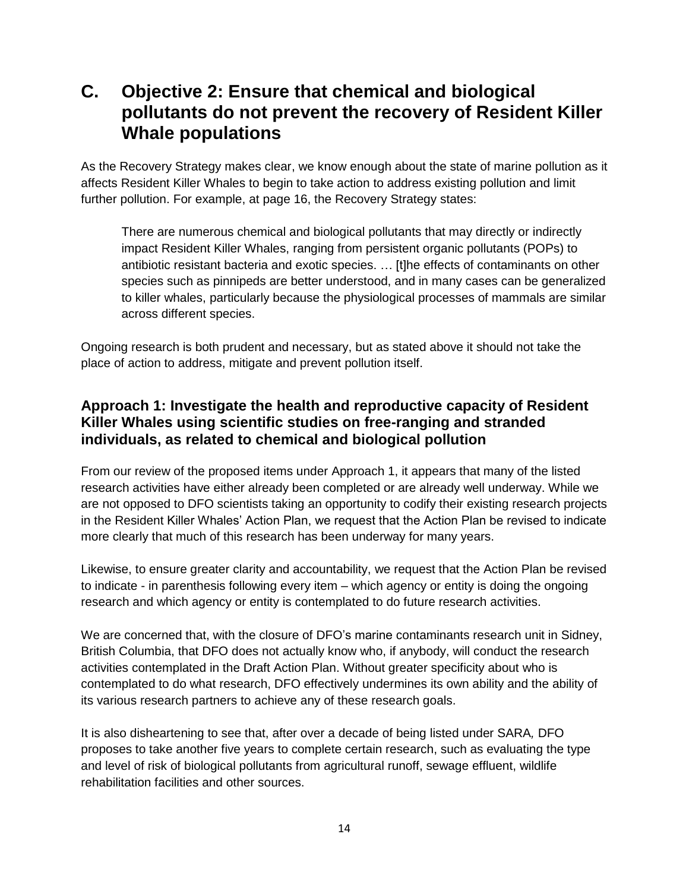# **C. Objective 2: Ensure that chemical and biological pollutants do not prevent the recovery of Resident Killer Whale populations**

As the Recovery Strategy makes clear, we know enough about the state of marine pollution as it affects Resident Killer Whales to begin to take action to address existing pollution and limit further pollution. For example, at page 16, the Recovery Strategy states:

There are numerous chemical and biological pollutants that may directly or indirectly impact Resident Killer Whales, ranging from persistent organic pollutants (POPs) to antibiotic resistant bacteria and exotic species. … [t]he effects of contaminants on other species such as pinnipeds are better understood, and in many cases can be generalized to killer whales, particularly because the physiological processes of mammals are similar across different species.

Ongoing research is both prudent and necessary, but as stated above it should not take the place of action to address, mitigate and prevent pollution itself.

### **Approach 1: Investigate the health and reproductive capacity of Resident Killer Whales using scientific studies on free-ranging and stranded individuals, as related to chemical and biological pollution**

From our review of the proposed items under Approach 1, it appears that many of the listed research activities have either already been completed or are already well underway. While we are not opposed to DFO scientists taking an opportunity to codify their existing research projects in the Resident Killer Whales' Action Plan, we request that the Action Plan be revised to indicate more clearly that much of this research has been underway for many years.

Likewise, to ensure greater clarity and accountability, we request that the Action Plan be revised to indicate - in parenthesis following every item – which agency or entity is doing the ongoing research and which agency or entity is contemplated to do future research activities.

We are concerned that, with the closure of DFO's marine contaminants research unit in Sidney, British Columbia, that DFO does not actually know who, if anybody, will conduct the research activities contemplated in the Draft Action Plan. Without greater specificity about who is contemplated to do what research, DFO effectively undermines its own ability and the ability of its various research partners to achieve any of these research goals.

It is also disheartening to see that, after over a decade of being listed under SARA*,* DFO proposes to take another five years to complete certain research, such as evaluating the type and level of risk of biological pollutants from agricultural runoff, sewage effluent, wildlife rehabilitation facilities and other sources.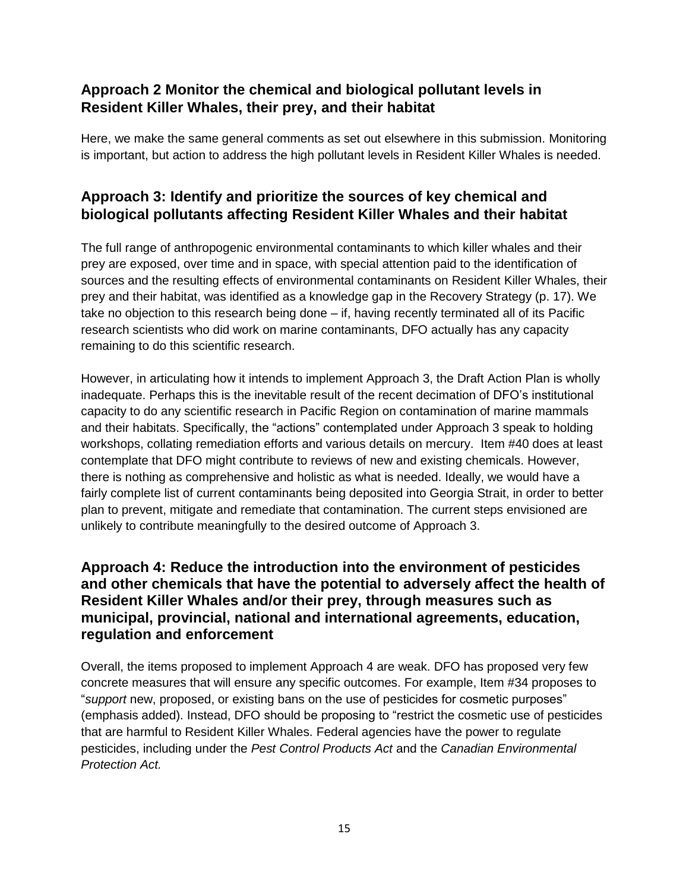## **Approach 2 Monitor the chemical and biological pollutant levels in Resident Killer Whales, their prey, and their habitat**

Here, we make the same general comments as set out elsewhere in this submission. Monitoring is important, but action to address the high pollutant levels in Resident Killer Whales is needed.

## **Approach 3: Identify and prioritize the sources of key chemical and biological pollutants affecting Resident Killer Whales and their habitat**

The full range of anthropogenic environmental contaminants to which killer whales and their prey are exposed, over time and in space, with special attention paid to the identification of sources and the resulting effects of environmental contaminants on Resident Killer Whales, their prey and their habitat, was identified as a knowledge gap in the Recovery Strategy (p. 17). We take no objection to this research being done – if, having recently terminated all of its Pacific research scientists who did work on marine contaminants, DFO actually has any capacity remaining to do this scientific research.

However, in articulating how it intends to implement Approach 3, the Draft Action Plan is wholly inadequate. Perhaps this is the inevitable result of the recent decimation of DFO's institutional capacity to do any scientific research in Pacific Region on contamination of marine mammals and their habitats. Specifically, the "actions" contemplated under Approach 3 speak to holding workshops, collating remediation efforts and various details on mercury. Item #40 does at least contemplate that DFO might contribute to reviews of new and existing chemicals. However, there is nothing as comprehensive and holistic as what is needed. Ideally, we would have a fairly complete list of current contaminants being deposited into Georgia Strait, in order to better plan to prevent, mitigate and remediate that contamination. The current steps envisioned are unlikely to contribute meaningfully to the desired outcome of Approach 3.

### **Approach 4: Reduce the introduction into the environment of pesticides and other chemicals that have the potential to adversely affect the health of Resident Killer Whales and/or their prey, through measures such as municipal, provincial, national and international agreements, education, regulation and enforcement**

Overall, the items proposed to implement Approach 4 are weak. DFO has proposed very few concrete measures that will ensure any specific outcomes. For example, Item #34 proposes to "*support* new, proposed, or existing bans on the use of pesticides for cosmetic purposes" (emphasis added). Instead, DFO should be proposing to "restrict the cosmetic use of pesticides that are harmful to Resident Killer Whales. Federal agencies have the power to regulate pesticides, including under the *Pest Control Products Act* and the *Canadian Environmental Protection Act.*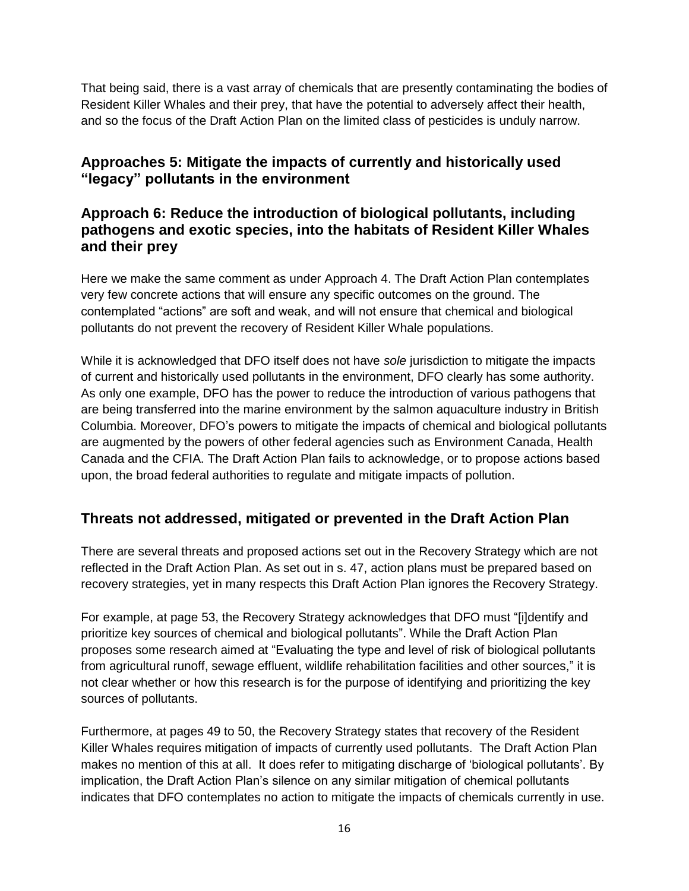That being said, there is a vast array of chemicals that are presently contaminating the bodies of Resident Killer Whales and their prey, that have the potential to adversely affect their health, and so the focus of the Draft Action Plan on the limited class of pesticides is unduly narrow.

## **Approaches 5: Mitigate the impacts of currently and historically used "legacy" pollutants in the environment**

### **Approach 6: Reduce the introduction of biological pollutants, including pathogens and exotic species, into the habitats of Resident Killer Whales and their prey**

Here we make the same comment as under Approach 4. The Draft Action Plan contemplates very few concrete actions that will ensure any specific outcomes on the ground. The contemplated "actions" are soft and weak, and will not ensure that chemical and biological pollutants do not prevent the recovery of Resident Killer Whale populations.

While it is acknowledged that DFO itself does not have *sole* jurisdiction to mitigate the impacts of current and historically used pollutants in the environment, DFO clearly has some authority. As only one example, DFO has the power to reduce the introduction of various pathogens that are being transferred into the marine environment by the salmon aquaculture industry in British Columbia. Moreover, DFO's powers to mitigate the impacts of chemical and biological pollutants are augmented by the powers of other federal agencies such as Environment Canada, Health Canada and the CFIA. The Draft Action Plan fails to acknowledge, or to propose actions based upon, the broad federal authorities to regulate and mitigate impacts of pollution.

## **Threats not addressed, mitigated or prevented in the Draft Action Plan**

There are several threats and proposed actions set out in the Recovery Strategy which are not reflected in the Draft Action Plan. As set out in s. 47, action plans must be prepared based on recovery strategies, yet in many respects this Draft Action Plan ignores the Recovery Strategy.

For example, at page 53, the Recovery Strategy acknowledges that DFO must "[i]dentify and prioritize key sources of chemical and biological pollutants". While the Draft Action Plan proposes some research aimed at "Evaluating the type and level of risk of biological pollutants from agricultural runoff, sewage effluent, wildlife rehabilitation facilities and other sources," it is not clear whether or how this research is for the purpose of identifying and prioritizing the key sources of pollutants.

Furthermore, at pages 49 to 50, the Recovery Strategy states that recovery of the Resident Killer Whales requires mitigation of impacts of currently used pollutants. The Draft Action Plan makes no mention of this at all. It does refer to mitigating discharge of 'biological pollutants'. By implication, the Draft Action Plan's silence on any similar mitigation of chemical pollutants indicates that DFO contemplates no action to mitigate the impacts of chemicals currently in use.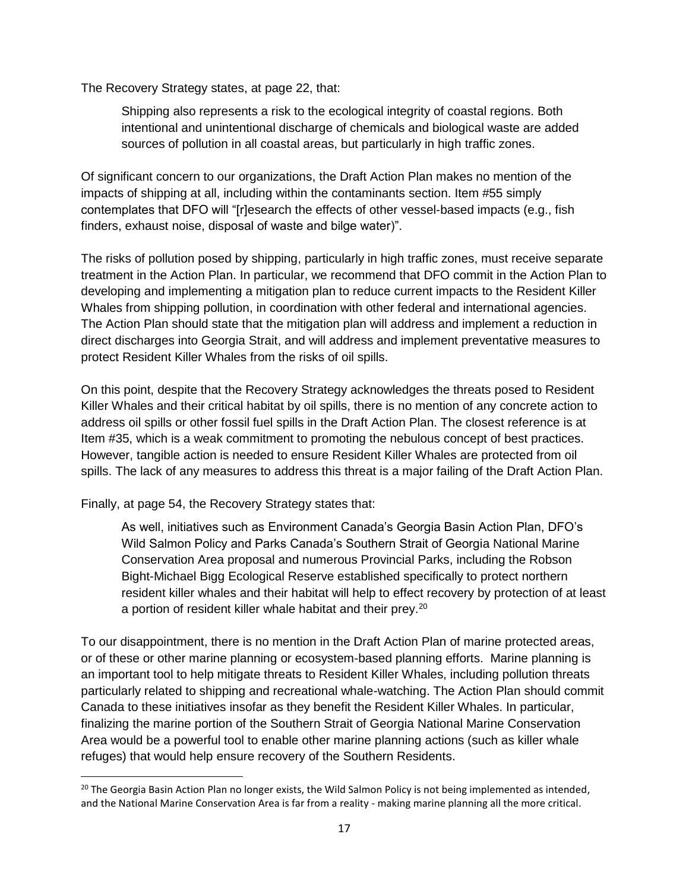The Recovery Strategy states, at page 22, that:

Shipping also represents a risk to the ecological integrity of coastal regions. Both intentional and unintentional discharge of chemicals and biological waste are added sources of pollution in all coastal areas, but particularly in high traffic zones.

Of significant concern to our organizations, the Draft Action Plan makes no mention of the impacts of shipping at all, including within the contaminants section. Item #55 simply contemplates that DFO will "[r]esearch the effects of other vessel-based impacts (e.g., fish finders, exhaust noise, disposal of waste and bilge water)".

The risks of pollution posed by shipping, particularly in high traffic zones, must receive separate treatment in the Action Plan. In particular, we recommend that DFO commit in the Action Plan to developing and implementing a mitigation plan to reduce current impacts to the Resident Killer Whales from shipping pollution, in coordination with other federal and international agencies. The Action Plan should state that the mitigation plan will address and implement a reduction in direct discharges into Georgia Strait, and will address and implement preventative measures to protect Resident Killer Whales from the risks of oil spills.

On this point, despite that the Recovery Strategy acknowledges the threats posed to Resident Killer Whales and their critical habitat by oil spills, there is no mention of any concrete action to address oil spills or other fossil fuel spills in the Draft Action Plan. The closest reference is at Item #35, which is a weak commitment to promoting the nebulous concept of best practices. However, tangible action is needed to ensure Resident Killer Whales are protected from oil spills. The lack of any measures to address this threat is a major failing of the Draft Action Plan.

Finally, at page 54, the Recovery Strategy states that:

As well, initiatives such as Environment Canada's Georgia Basin Action Plan, DFO's Wild Salmon Policy and Parks Canada's Southern Strait of Georgia National Marine Conservation Area proposal and numerous Provincial Parks, including the Robson Bight-Michael Bigg Ecological Reserve established specifically to protect northern resident killer whales and their habitat will help to effect recovery by protection of at least a portion of resident killer whale habitat and their prey.<sup>20</sup>

To our disappointment, there is no mention in the Draft Action Plan of marine protected areas, or of these or other marine planning or ecosystem-based planning efforts. Marine planning is an important tool to help mitigate threats to Resident Killer Whales, including pollution threats particularly related to shipping and recreational whale-watching. The Action Plan should commit Canada to these initiatives insofar as they benefit the Resident Killer Whales. In particular, finalizing the marine portion of the Southern Strait of Georgia National Marine Conservation Area would be a powerful tool to enable other marine planning actions (such as killer whale refuges) that would help ensure recovery of the Southern Residents.

l  $20$  The Georgia Basin Action Plan no longer exists, the Wild Salmon Policy is not being implemented as intended, and the National Marine Conservation Area is far from a reality - making marine planning all the more critical.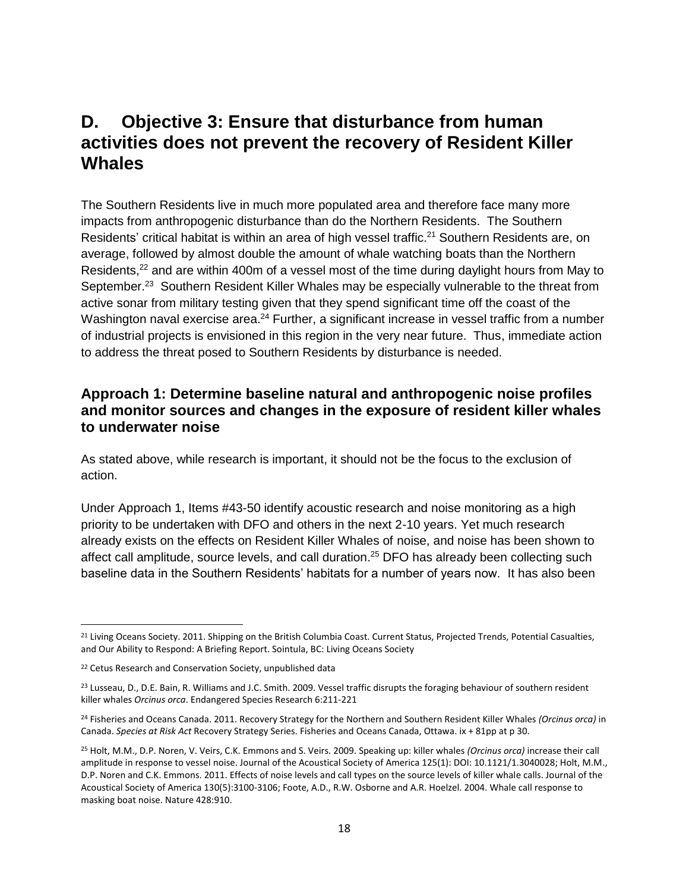## **D. Objective 3: Ensure that disturbance from human activities does not prevent the recovery of Resident Killer Whales**

The Southern Residents live in much more populated area and therefore face many more impacts from anthropogenic disturbance than do the Northern Residents. The Southern Residents' critical habitat is within an area of high vessel traffic.<sup>21</sup> Southern Residents are, on average, followed by almost double the amount of whale watching boats than the Northern Residents,<sup>22</sup> and are within 400m of a vessel most of the time during daylight hours from May to September.<sup>23</sup> Southern Resident Killer Whales may be especially vulnerable to the threat from active sonar from military testing given that they spend significant time off the coast of the Washington naval exercise area.<sup>24</sup> Further, a significant increase in vessel traffic from a number of industrial projects is envisioned in this region in the very near future. Thus, immediate action to address the threat posed to Southern Residents by disturbance is needed.

#### **Approach 1: Determine baseline natural and anthropogenic noise profiles and monitor sources and changes in the exposure of resident killer whales to underwater noise**

As stated above, while research is important, it should not be the focus to the exclusion of action.

Under Approach 1, Items #43-50 identify acoustic research and noise monitoring as a high priority to be undertaken with DFO and others in the next 2-10 years. Yet much research already exists on the effects on Resident Killer Whales of noise, and noise has been shown to affect call amplitude, source levels, and call duration. <sup>25</sup> DFO has already been collecting such baseline data in the Southern Residents' habitats for a number of years now. It has also been

 $\overline{\phantom{a}}$ 

<sup>&</sup>lt;sup>21</sup> Living Oceans Society. 2011. Shipping on the British Columbia Coast. Current Status, Projected Trends, Potential Casualties, and Our Ability to Respond: A Briefing Report. Sointula, BC: Living Oceans Society

<sup>&</sup>lt;sup>22</sup> Cetus Research and Conservation Society, unpublished data

<sup>&</sup>lt;sup>23</sup> Lusseau, D., D.E. Bain, R. Williams and J.C. Smith. 2009. Vessel traffic disrupts the foraging behaviour of southern resident killer whales *Orcinus orca*. Endangered Species Research 6:211-221

<sup>24</sup> Fisheries and Oceans Canada. 2011. Recovery Strategy for the Northern and Southern Resident Killer Whales *(Orcinus orca)* in Canada. *Species at Risk Act* Recovery Strategy Series. Fisheries and Oceans Canada, Ottawa. ix + 81pp at p 30.

<sup>25</sup> Holt, M.M., D.P. Noren, V. Veirs, C.K. Emmons and S. Veirs. 2009. Speaking up: killer whales *(Orcinus orca)* increase their call amplitude in response to vessel noise. Journal of the Acoustical Society of America 125(1): DOI: 10.1121/1.3040028; Holt, M.M., D.P. Noren and C.K. Emmons. 2011. Effects of noise levels and call types on the source levels of killer whale calls. Journal of the Acoustical Society of America 130(5):3100-3106; Foote, A.D., R.W. Osborne and A.R. Hoelzel. 2004. Whale call response to masking boat noise. Nature 428:910.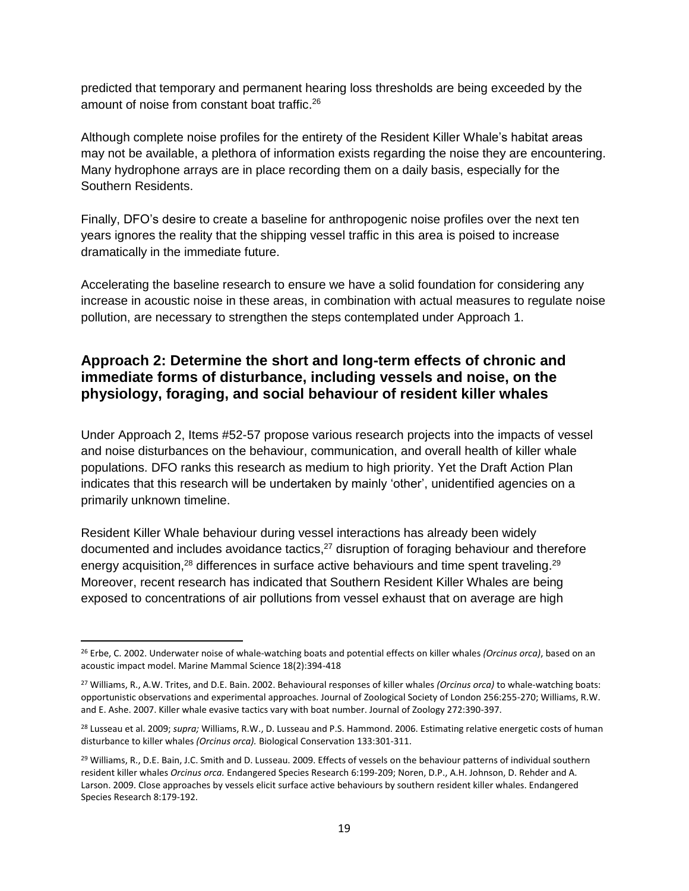predicted that temporary and permanent hearing loss thresholds are being exceeded by the amount of noise from constant boat traffic. 26

Although complete noise profiles for the entirety of the Resident Killer Whale's habitat areas may not be available, a plethora of information exists regarding the noise they are encountering. Many hydrophone arrays are in place recording them on a daily basis, especially for the Southern Residents.

Finally, DFO's desire to create a baseline for anthropogenic noise profiles over the next ten years ignores the reality that the shipping vessel traffic in this area is poised to increase dramatically in the immediate future.

Accelerating the baseline research to ensure we have a solid foundation for considering any increase in acoustic noise in these areas, in combination with actual measures to regulate noise pollution, are necessary to strengthen the steps contemplated under Approach 1.

## **Approach 2: Determine the short and long-term effects of chronic and immediate forms of disturbance, including vessels and noise, on the physiology, foraging, and social behaviour of resident killer whales**

Under Approach 2, Items #52-57 propose various research projects into the impacts of vessel and noise disturbances on the behaviour, communication, and overall health of killer whale populations. DFO ranks this research as medium to high priority. Yet the Draft Action Plan indicates that this research will be undertaken by mainly 'other', unidentified agencies on a primarily unknown timeline.

Resident Killer Whale behaviour during vessel interactions has already been widely documented and includes avoidance tactics,<sup>27</sup> disruption of foraging behaviour and therefore energy acquisition,<sup>28</sup> differences in surface active behaviours and time spent traveling.<sup>29</sup> Moreover, recent research has indicated that Southern Resident Killer Whales are being exposed to concentrations of air pollutions from vessel exhaust that on average are high

 $\overline{\phantom{a}}$ 

<sup>26</sup> Erbe, C. 2002. Underwater noise of whale-watching boats and potential effects on killer whales *(Orcinus orca)*, based on an acoustic impact model. Marine Mammal Science 18(2):394-418

<sup>27</sup> Williams, R., A.W. Trites, and D.E. Bain. 2002. Behavioural responses of killer whales *(Orcinus orca)* to whale-watching boats: opportunistic observations and experimental approaches. Journal of Zoological Society of London 256:255-270; Williams, R.W. and E. Ashe. 2007. Killer whale evasive tactics vary with boat number. Journal of Zoology 272:390-397.

<sup>28</sup> Lusseau et al. 2009; *supra;* Williams, R.W., D. Lusseau and P.S. Hammond. 2006. Estimating relative energetic costs of human disturbance to killer whales *(Orcinus orca).* Biological Conservation 133:301-311.

<sup>&</sup>lt;sup>29</sup> Williams, R., D.E. Bain, J.C. Smith and D. Lusseau. 2009. Effects of vessels on the behaviour patterns of individual southern resident killer whales *Orcinus orca.* Endangered Species Research 6:199-209; Noren, D.P., A.H. Johnson, D. Rehder and A. Larson. 2009. Close approaches by vessels elicit surface active behaviours by southern resident killer whales. Endangered Species Research 8:179-192.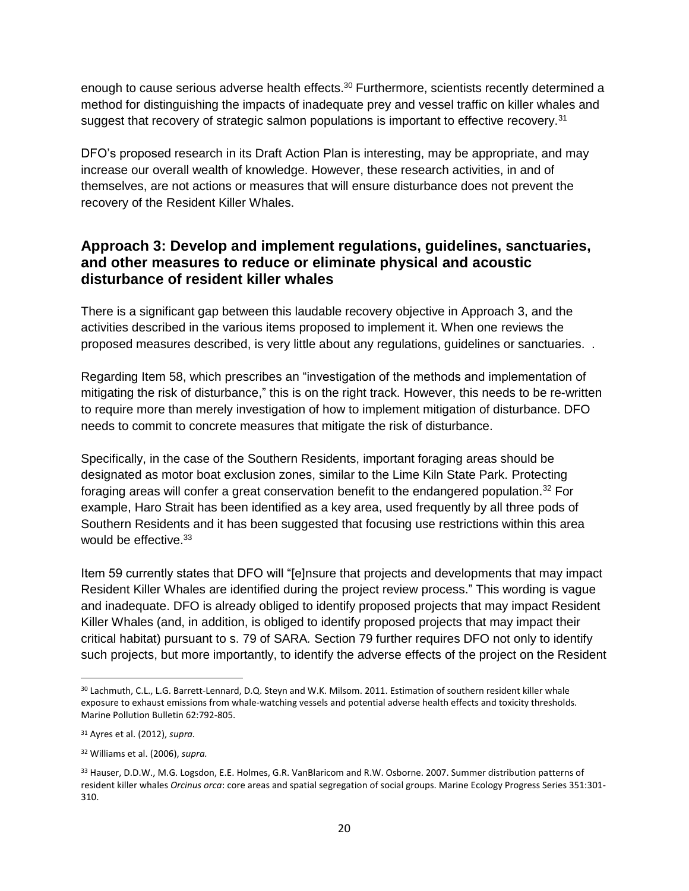enough to cause serious adverse health effects.<sup>30</sup> Furthermore, scientists recently determined a method for distinguishing the impacts of inadequate prey and vessel traffic on killer whales and suggest that recovery of strategic salmon populations is important to effective recovery.<sup>31</sup>

DFO's proposed research in its Draft Action Plan is interesting, may be appropriate, and may increase our overall wealth of knowledge. However, these research activities, in and of themselves, are not actions or measures that will ensure disturbance does not prevent the recovery of the Resident Killer Whales.

#### **Approach 3: Develop and implement regulations, guidelines, sanctuaries, and other measures to reduce or eliminate physical and acoustic disturbance of resident killer whales**

There is a significant gap between this laudable recovery objective in Approach 3, and the activities described in the various items proposed to implement it. When one reviews the proposed measures described, is very little about any regulations, guidelines or sanctuaries. .

Regarding Item 58, which prescribes an "investigation of the methods and implementation of mitigating the risk of disturbance," this is on the right track. However, this needs to be re-written to require more than merely investigation of how to implement mitigation of disturbance. DFO needs to commit to concrete measures that mitigate the risk of disturbance.

Specifically, in the case of the Southern Residents, important foraging areas should be designated as motor boat exclusion zones, similar to the Lime Kiln State Park. Protecting foraging areas will confer a great conservation benefit to the endangered population.<sup>32</sup> For example, Haro Strait has been identified as a key area, used frequently by all three pods of Southern Residents and it has been suggested that focusing use restrictions within this area would be effective.<sup>33</sup>

Item 59 currently states that DFO will "[e]nsure that projects and developments that may impact Resident Killer Whales are identified during the project review process." This wording is vague and inadequate. DFO is already obliged to identify proposed projects that may impact Resident Killer Whales (and, in addition, is obliged to identify proposed projects that may impact their critical habitat) pursuant to s. 79 of SARA*.* Section 79 further requires DFO not only to identify such projects, but more importantly, to identify the adverse effects of the project on the Resident

 $\overline{a}$ 

<sup>30</sup> Lachmuth, C.L., L.G. Barrett-Lennard, D.Q. Steyn and W.K. Milsom. 2011. Estimation of southern resident killer whale exposure to exhaust emissions from whale-watching vessels and potential adverse health effects and toxicity thresholds. Marine Pollution Bulletin 62:792-805.

<sup>31</sup> Ayres et al. (2012), *supra.*

<sup>32</sup> Williams et al. (2006), *supra.*

<sup>33</sup> Hauser, D.D.W., M.G. Logsdon, E.E. Holmes, G.R. VanBlaricom and R.W. Osborne. 2007. Summer distribution patterns of resident killer whales *Orcinus orca*: core areas and spatial segregation of social groups. Marine Ecology Progress Series 351:301- 310.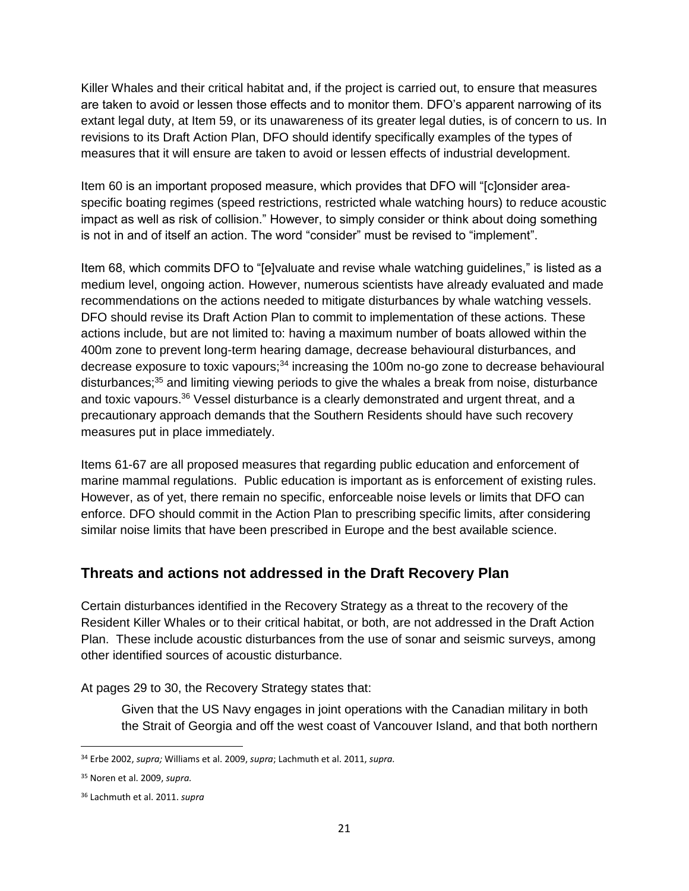Killer Whales and their critical habitat and, if the project is carried out, to ensure that measures are taken to avoid or lessen those effects and to monitor them. DFO's apparent narrowing of its extant legal duty, at Item 59, or its unawareness of its greater legal duties, is of concern to us. In revisions to its Draft Action Plan, DFO should identify specifically examples of the types of measures that it will ensure are taken to avoid or lessen effects of industrial development.

Item 60 is an important proposed measure, which provides that DFO will "[c]onsider areaspecific boating regimes (speed restrictions, restricted whale watching hours) to reduce acoustic impact as well as risk of collision." However, to simply consider or think about doing something is not in and of itself an action. The word "consider" must be revised to "implement".

Item 68, which commits DFO to "[e]valuate and revise whale watching guidelines," is listed as a medium level, ongoing action. However, numerous scientists have already evaluated and made recommendations on the actions needed to mitigate disturbances by whale watching vessels. DFO should revise its Draft Action Plan to commit to implementation of these actions. These actions include, but are not limited to: having a maximum number of boats allowed within the 400m zone to prevent long-term hearing damage, decrease behavioural disturbances, and decrease exposure to toxic vapours; $34$  increasing the 100m no-go zone to decrease behavioural disturbances;<sup>35</sup> and limiting viewing periods to give the whales a break from noise, disturbance and toxic vapours.<sup>36</sup> Vessel disturbance is a clearly demonstrated and urgent threat, and a precautionary approach demands that the Southern Residents should have such recovery measures put in place immediately.

Items 61-67 are all proposed measures that regarding public education and enforcement of marine mammal regulations. Public education is important as is enforcement of existing rules. However, as of yet, there remain no specific, enforceable noise levels or limits that DFO can enforce. DFO should commit in the Action Plan to prescribing specific limits, after considering similar noise limits that have been prescribed in Europe and the best available science.

## **Threats and actions not addressed in the Draft Recovery Plan**

Certain disturbances identified in the Recovery Strategy as a threat to the recovery of the Resident Killer Whales or to their critical habitat, or both, are not addressed in the Draft Action Plan. These include acoustic disturbances from the use of sonar and seismic surveys, among other identified sources of acoustic disturbance.

At pages 29 to 30, the Recovery Strategy states that:

Given that the US Navy engages in joint operations with the Canadian military in both the Strait of Georgia and off the west coast of Vancouver Island, and that both northern

l <sup>34</sup> Erbe 2002, *supra;* Williams et al. 2009, *supra*; Lachmuth et al. 2011, *supra.*

<sup>35</sup> Noren et al. 2009, *supra.*

<sup>36</sup> Lachmuth et al. 2011. *supra*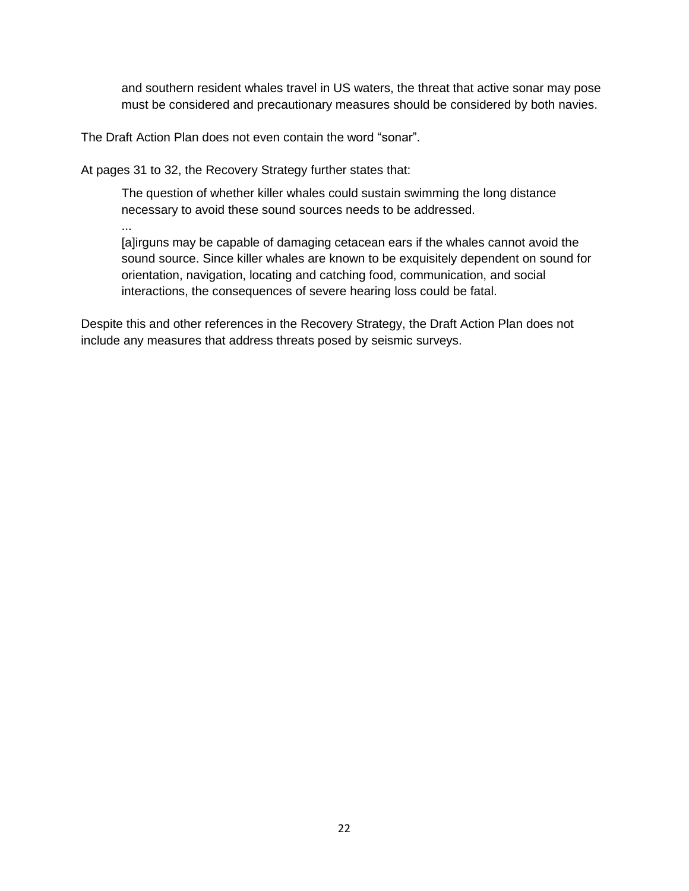and southern resident whales travel in US waters, the threat that active sonar may pose must be considered and precautionary measures should be considered by both navies.

The Draft Action Plan does not even contain the word "sonar".

At pages 31 to 32, the Recovery Strategy further states that:

The question of whether killer whales could sustain swimming the long distance necessary to avoid these sound sources needs to be addressed.

...

[a]irguns may be capable of damaging cetacean ears if the whales cannot avoid the sound source. Since killer whales are known to be exquisitely dependent on sound for orientation, navigation, locating and catching food, communication, and social interactions, the consequences of severe hearing loss could be fatal.

Despite this and other references in the Recovery Strategy, the Draft Action Plan does not include any measures that address threats posed by seismic surveys.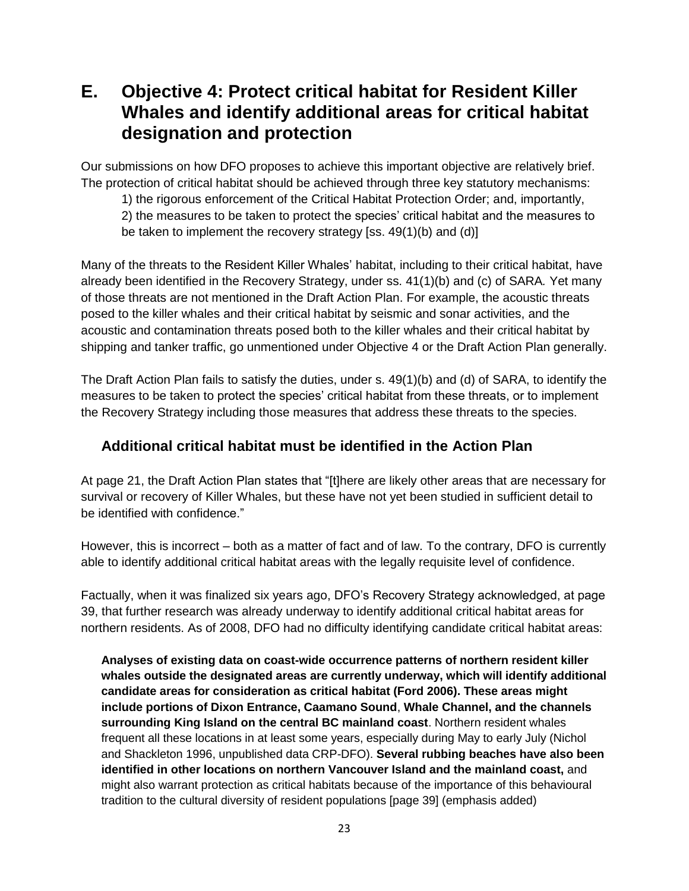# **E. Objective 4: Protect critical habitat for Resident Killer Whales and identify additional areas for critical habitat designation and protection**

Our submissions on how DFO proposes to achieve this important objective are relatively brief. The protection of critical habitat should be achieved through three key statutory mechanisms:

1) the rigorous enforcement of the Critical Habitat Protection Order; and, importantly,

2) the measures to be taken to protect the species' critical habitat and the measures to

be taken to implement the recovery strategy [ss. 49(1)(b) and (d)]

Many of the threats to the Resident Killer Whales' habitat, including to their critical habitat, have already been identified in the Recovery Strategy, under ss. 41(1)(b) and (c) of SARA*.* Yet many of those threats are not mentioned in the Draft Action Plan. For example, the acoustic threats posed to the killer whales and their critical habitat by seismic and sonar activities, and the acoustic and contamination threats posed both to the killer whales and their critical habitat by shipping and tanker traffic, go unmentioned under Objective 4 or the Draft Action Plan generally.

The Draft Action Plan fails to satisfy the duties, under s. 49(1)(b) and (d) of SARA, to identify the measures to be taken to protect the species' critical habitat from these threats, or to implement the Recovery Strategy including those measures that address these threats to the species.

## **Additional critical habitat must be identified in the Action Plan**

At page 21, the Draft Action Plan states that "[t]here are likely other areas that are necessary for survival or recovery of Killer Whales, but these have not yet been studied in sufficient detail to be identified with confidence."

However, this is incorrect – both as a matter of fact and of law. To the contrary, DFO is currently able to identify additional critical habitat areas with the legally requisite level of confidence.

Factually, when it was finalized six years ago, DFO's Recovery Strategy acknowledged, at page 39, that further research was already underway to identify additional critical habitat areas for northern residents. As of 2008, DFO had no difficulty identifying candidate critical habitat areas:

**Analyses of existing data on coast-wide occurrence patterns of northern resident killer whales outside the designated areas are currently underway, which will identify additional candidate areas for consideration as critical habitat (Ford 2006). These areas might include portions of Dixon Entrance, Caamano Sound**, **Whale Channel, and the channels surrounding King Island on the central BC mainland coast**. Northern resident whales frequent all these locations in at least some years, especially during May to early July (Nichol and Shackleton 1996, unpublished data CRP-DFO). **Several rubbing beaches have also been identified in other locations on northern Vancouver Island and the mainland coast,** and might also warrant protection as critical habitats because of the importance of this behavioural tradition to the cultural diversity of resident populations [page 39] (emphasis added)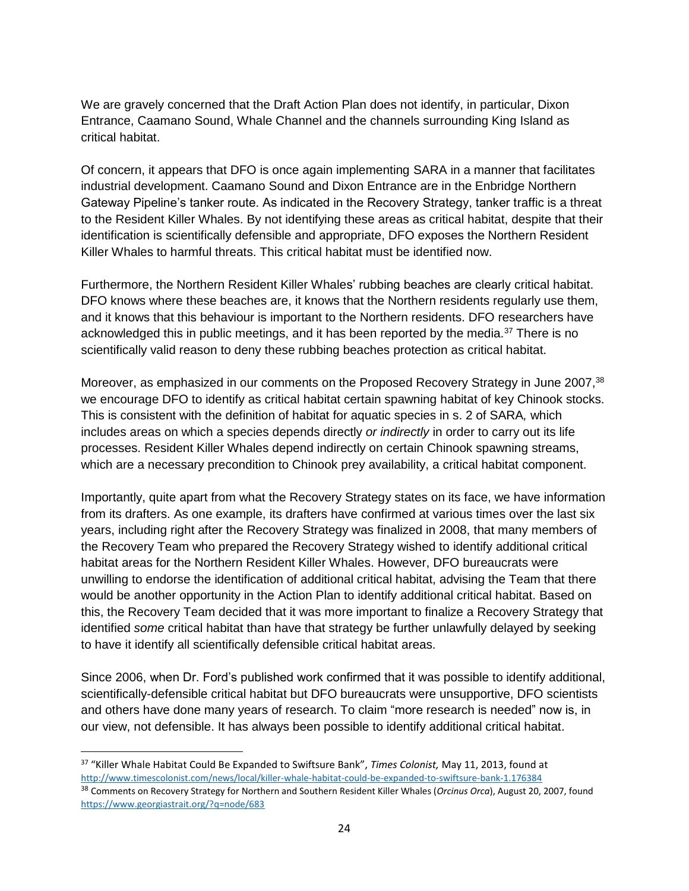We are gravely concerned that the Draft Action Plan does not identify, in particular, Dixon Entrance, Caamano Sound, Whale Channel and the channels surrounding King Island as critical habitat.

Of concern, it appears that DFO is once again implementing SARA in a manner that facilitates industrial development. Caamano Sound and Dixon Entrance are in the Enbridge Northern Gateway Pipeline's tanker route. As indicated in the Recovery Strategy, tanker traffic is a threat to the Resident Killer Whales. By not identifying these areas as critical habitat, despite that their identification is scientifically defensible and appropriate, DFO exposes the Northern Resident Killer Whales to harmful threats. This critical habitat must be identified now.

Furthermore, the Northern Resident Killer Whales' rubbing beaches are clearly critical habitat. DFO knows where these beaches are, it knows that the Northern residents regularly use them, and it knows that this behaviour is important to the Northern residents. DFO researchers have acknowledged this in public meetings, and it has been reported by the media.<sup>37</sup> There is no scientifically valid reason to deny these rubbing beaches protection as critical habitat.

Moreover, as emphasized in our comments on the Proposed Recovery Strategy in June 2007,<sup>38</sup> we encourage DFO to identify as critical habitat certain spawning habitat of key Chinook stocks. This is consistent with the definition of habitat for aquatic species in s. 2 of SARA*,* which includes areas on which a species depends directly *or indirectly* in order to carry out its life processes. Resident Killer Whales depend indirectly on certain Chinook spawning streams, which are a necessary precondition to Chinook prey availability, a critical habitat component.

Importantly, quite apart from what the Recovery Strategy states on its face, we have information from its drafters. As one example, its drafters have confirmed at various times over the last six years, including right after the Recovery Strategy was finalized in 2008, that many members of the Recovery Team who prepared the Recovery Strategy wished to identify additional critical habitat areas for the Northern Resident Killer Whales. However, DFO bureaucrats were unwilling to endorse the identification of additional critical habitat, advising the Team that there would be another opportunity in the Action Plan to identify additional critical habitat. Based on this, the Recovery Team decided that it was more important to finalize a Recovery Strategy that identified *some* critical habitat than have that strategy be further unlawfully delayed by seeking to have it identify all scientifically defensible critical habitat areas.

Since 2006, when Dr. Ford's published work confirmed that it was possible to identify additional, scientifically-defensible critical habitat but DFO bureaucrats were unsupportive, DFO scientists and others have done many years of research. To claim "more research is needed" now is, in our view, not defensible. It has always been possible to identify additional critical habitat.

 $\overline{\phantom{a}}$ 

<sup>37</sup> "Killer Whale Habitat Could Be Expanded to Swiftsure Bank", *Times Colonist,* May 11, 2013, found at <http://www.timescolonist.com/news/local/killer-whale-habitat-could-be-expanded-to-swiftsure-bank-1.176384>

<sup>38</sup> Comments on Recovery Strategy for Northern and Southern Resident Killer Whales (*Orcinus Orca*), August 20, 2007, found <https://www.georgiastrait.org/?q=node/683>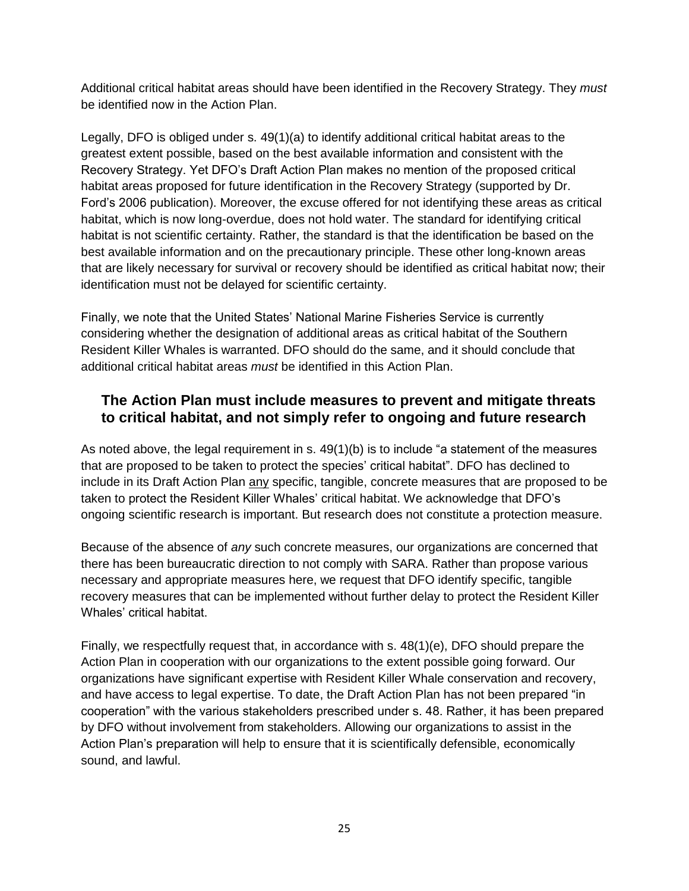Additional critical habitat areas should have been identified in the Recovery Strategy. They *must*  be identified now in the Action Plan.

Legally, DFO is obliged under s. 49(1)(a) to identify additional critical habitat areas to the greatest extent possible, based on the best available information and consistent with the Recovery Strategy. Yet DFO's Draft Action Plan makes no mention of the proposed critical habitat areas proposed for future identification in the Recovery Strategy (supported by Dr. Ford's 2006 publication). Moreover, the excuse offered for not identifying these areas as critical habitat, which is now long-overdue, does not hold water. The standard for identifying critical habitat is not scientific certainty. Rather, the standard is that the identification be based on the best available information and on the precautionary principle. These other long-known areas that are likely necessary for survival or recovery should be identified as critical habitat now; their identification must not be delayed for scientific certainty.

Finally, we note that the United States' National Marine Fisheries Service is currently considering whether the designation of additional areas as critical habitat of the Southern Resident Killer Whales is warranted. DFO should do the same, and it should conclude that additional critical habitat areas *must* be identified in this Action Plan.

### **The Action Plan must include measures to prevent and mitigate threats to critical habitat, and not simply refer to ongoing and future research**

As noted above, the legal requirement in s.  $49(1)(b)$  is to include "a statement of the measures that are proposed to be taken to protect the species' critical habitat". DFO has declined to include in its Draft Action Plan any specific, tangible, concrete measures that are proposed to be taken to protect the Resident Killer Whales' critical habitat. We acknowledge that DFO's ongoing scientific research is important. But research does not constitute a protection measure.

Because of the absence of *any* such concrete measures, our organizations are concerned that there has been bureaucratic direction to not comply with SARA. Rather than propose various necessary and appropriate measures here, we request that DFO identify specific, tangible recovery measures that can be implemented without further delay to protect the Resident Killer Whales' critical habitat.

Finally, we respectfully request that, in accordance with s. 48(1)(e), DFO should prepare the Action Plan in cooperation with our organizations to the extent possible going forward. Our organizations have significant expertise with Resident Killer Whale conservation and recovery, and have access to legal expertise. To date, the Draft Action Plan has not been prepared "in cooperation" with the various stakeholders prescribed under s. 48. Rather, it has been prepared by DFO without involvement from stakeholders. Allowing our organizations to assist in the Action Plan's preparation will help to ensure that it is scientifically defensible, economically sound, and lawful.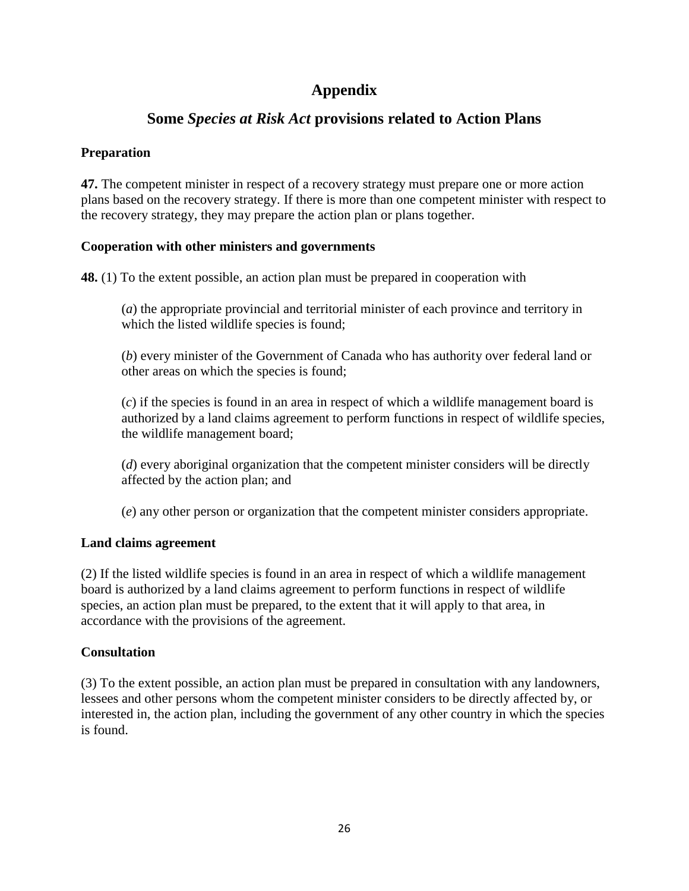## **Appendix**

## **Some** *Species at Risk Act* **provisions related to Action Plans**

### **Preparation**

**47.** The competent minister in respect of a recovery strategy must prepare one or more action plans based on the recovery strategy. If there is more than one competent minister with respect to the recovery strategy, they may prepare the action plan or plans together.

#### **Cooperation with other ministers and governments**

**48.** (1) To the extent possible, an action plan must be prepared in cooperation with

(*a*) the appropriate provincial and territorial minister of each province and territory in which the listed wildlife species is found;

(*b*) every minister of the Government of Canada who has authority over federal land or other areas on which the species is found;

(*c*) if the species is found in an area in respect of which a wildlife management board is authorized by a land claims agreement to perform functions in respect of wildlife species, the wildlife management board;

(*d*) every aboriginal organization that the competent minister considers will be directly affected by the action plan; and

(*e*) any other person or organization that the competent minister considers appropriate.

#### **Land claims agreement**

(2) If the listed wildlife species is found in an area in respect of which a wildlife management board is authorized by a land claims agreement to perform functions in respect of wildlife species, an action plan must be prepared, to the extent that it will apply to that area, in accordance with the provisions of the agreement.

## **Consultation**

(3) To the extent possible, an action plan must be prepared in consultation with any landowners, lessees and other persons whom the competent minister considers to be directly affected by, or interested in, the action plan, including the government of any other country in which the species is found.